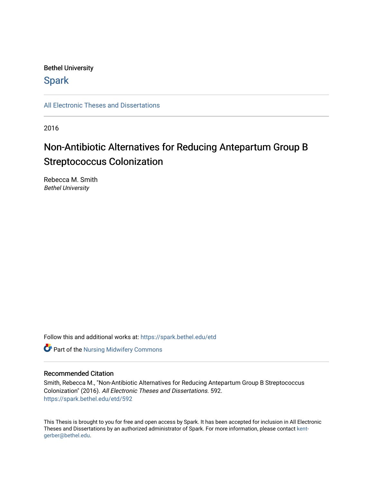### Bethel University

## **Spark**

[All Electronic Theses and Dissertations](https://spark.bethel.edu/etd) 

2016

## Non-Antibiotic Alternatives for Reducing Antepartum Group B Streptococcus Colonization

Rebecca M. Smith Bethel University

Follow this and additional works at: [https://spark.bethel.edu/etd](https://spark.bethel.edu/etd?utm_source=spark.bethel.edu%2Fetd%2F592&utm_medium=PDF&utm_campaign=PDFCoverPages)



#### Recommended Citation

Smith, Rebecca M., "Non-Antibiotic Alternatives for Reducing Antepartum Group B Streptococcus Colonization" (2016). All Electronic Theses and Dissertations. 592. [https://spark.bethel.edu/etd/592](https://spark.bethel.edu/etd/592?utm_source=spark.bethel.edu%2Fetd%2F592&utm_medium=PDF&utm_campaign=PDFCoverPages)

This Thesis is brought to you for free and open access by Spark. It has been accepted for inclusion in All Electronic Theses and Dissertations by an authorized administrator of Spark. For more information, please contact [kent](mailto:kent-gerber@bethel.edu)[gerber@bethel.edu.](mailto:kent-gerber@bethel.edu)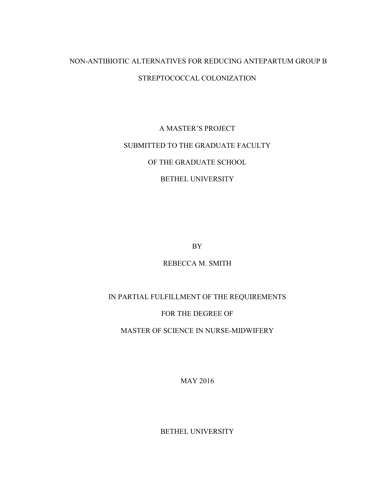## NON-ANTIBIOTIC ALTERNATIVES FOR REDUCING ANTEPARTUM GROUP B STREPTOCOCCAL COLONIZATION

# A MASTER'S PROJECT SUBMITTED TO THE GRADUATE FACULTY OF THE GRADUATE SCHOOL BETHEL UNIVERSITY

BY

## REBECCA M. SMITH

## IN PARTIAL FULFILLMENT OF THE REQUIREMENTS

## FOR THE DEGREE OF

## MASTER OF SCIENCE IN NURSE-MIDWIFERY

MAY 2016

BETHEL UNIVERSITY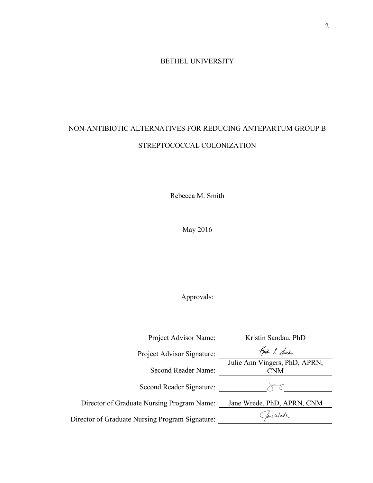## BETHEL UNIVERSITY

## NON-ANTIBIOTIC ALTERNATIVES FOR REDUCING ANTEPARTUM GROUP B STREPTOCOCCAL COLONIZATION

Rebecca M. Smith

May 2016

## Approvals:

| Project Advisor Name:                           | Kristin Sandau, PhD                         |
|-------------------------------------------------|---------------------------------------------|
| Project Advisor Signature:                      | Knith & Sarker                              |
| Second Reader Name:                             | Julie Ann Vingers, PhD, APRN,<br><b>CNM</b> |
| Second Reader Signature:                        |                                             |
| Director of Graduate Nursing Program Name:      | Jane Wrede, PhD, APRN, CNM                  |
| Director of Graduate Nursing Program Signature: | fame Wurde                                  |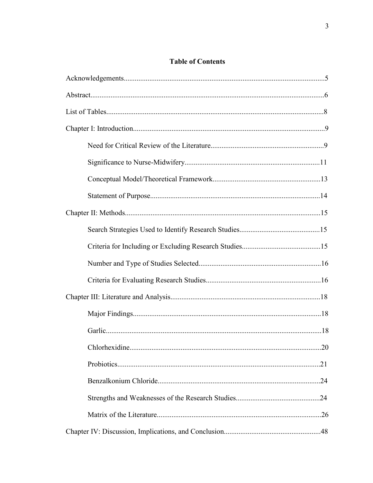## **Table of Contents**

| .20 |
|-----|
|     |
|     |
|     |
|     |
|     |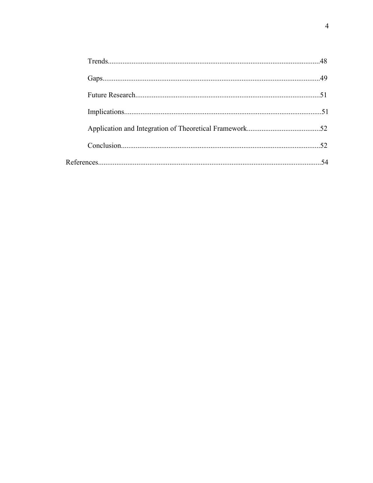| 52 |
|----|
|    |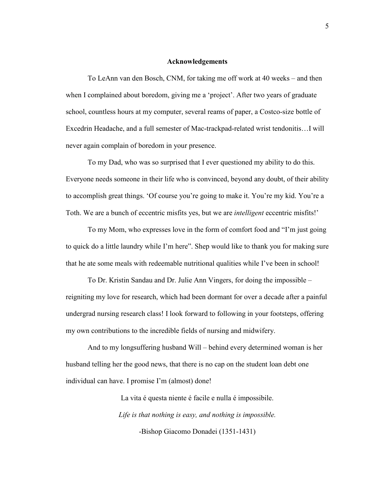#### **Acknowledgements**

To LeAnn van den Bosch, CNM, for taking me off work at 40 weeks – and then when I complained about boredom, giving me a 'project'. After two years of graduate school, countless hours at my computer, several reams of paper, a Costco-size bottle of Excedrin Headache, and a full semester of Mac-trackpad-related wrist tendonitis…I will never again complain of boredom in your presence.

To my Dad, who was so surprised that I ever questioned my ability to do this. Everyone needs someone in their life who is convinced, beyond any doubt, of their ability to accomplish great things. 'Of course you're going to make it. You're my kid. You're a Toth. We are a bunch of eccentric misfits yes, but we are *intelligent* eccentric misfits!'

To my Mom, who expresses love in the form of comfort food and "I'm just going to quick do a little laundry while I'm here". Shep would like to thank you for making sure that he ate some meals with redeemable nutritional qualities while I've been in school!

To Dr. Kristin Sandau and Dr. Julie Ann Vingers, for doing the impossible – reigniting my love for research, which had been dormant for over a decade after a painful undergrad nursing research class! I look forward to following in your footsteps, offering my own contributions to the incredible fields of nursing and midwifery.

And to my longsuffering husband Will – behind every determined woman is her husband telling her the good news, that there is no cap on the student loan debt one individual can have. I promise I'm (almost) done!

> La vita é questa niente é facile e nulla é impossibile. *Life is that nothing is easy, and nothing is impossible.*  -Bishop Giacomo Donadei (1351-1431)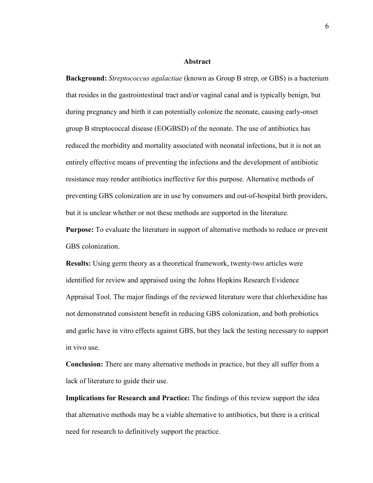#### **Abstract**

**Background:** *Streptococcus agalactiae* (known as Group B strep, or GBS) is a bacterium that resides in the gastrointestinal tract and/or vaginal canal and is typically benign, but during pregnancy and birth it can potentially colonize the neonate, causing early-onset group B streptococcal disease (EOGBSD) of the neonate. The use of antibiotics has reduced the morbidity and mortality associated with neonatal infections, but it is not an entirely effective means of preventing the infections and the development of antibiotic resistance may render antibiotics ineffective for this purpose. Alternative methods of preventing GBS colonization are in use by consumers and out-of-hospital birth providers, but it is unclear whether or not these methods are supported in the literature.

**Purpose:** To evaluate the literature in support of alternative methods to reduce or prevent GBS colonization.

**Results:** Using germ theory as a theoretical framework, twenty-two articles were identified for review and appraised using the Johns Hopkins Research Evidence Appraisal Tool. The major findings of the reviewed literature were that chlorhexidine has not demonstrated consistent benefit in reducing GBS colonization, and both probiotics and garlic have in vitro effects against GBS, but they lack the testing necessary to support in vivo use.

**Conclusion:** There are many alternative methods in practice, but they all suffer from a lack of literature to guide their use.

**Implications for Research and Practice:** The findings of this review support the idea that alternative methods may be a viable alternative to antibiotics, but there is a critical need for research to definitively support the practice.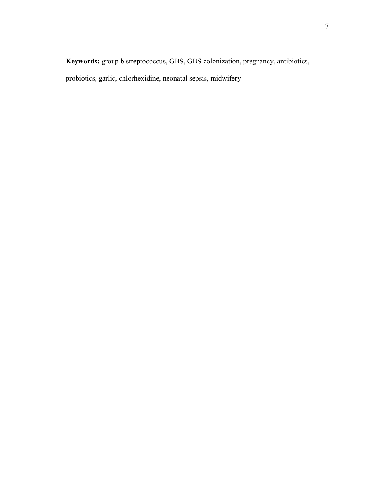**Keywords:** group b streptococcus, GBS, GBS colonization, pregnancy, antibiotics, probiotics, garlic, chlorhexidine, neonatal sepsis, midwifery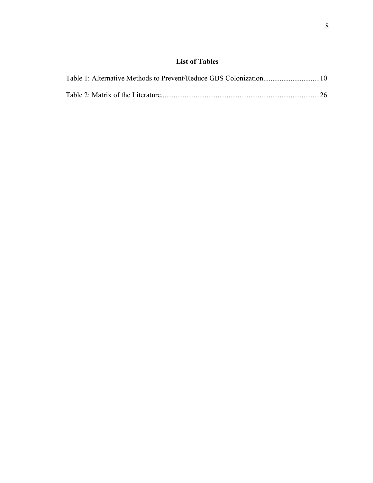## **List of Tables**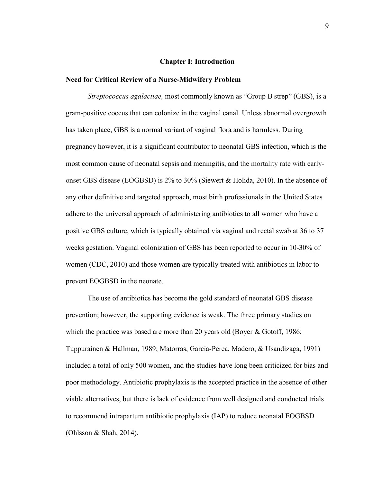#### **Chapter I: Introduction**

#### **Need for Critical Review of a Nurse-Midwifery Problem**

*Streptococcus agalactiae,* most commonly known as "Group B strep" (GBS), is a gram-positive coccus that can colonize in the vaginal canal. Unless abnormal overgrowth has taken place, GBS is a normal variant of vaginal flora and is harmless. During pregnancy however, it is a significant contributor to neonatal GBS infection, which is the most common cause of neonatal sepsis and meningitis, and the mortality rate with earlyonset GBS disease (EOGBSD) is 2% to 30% (Siewert & Holida, 2010). In the absence of any other definitive and targeted approach, most birth professionals in the United States adhere to the universal approach of administering antibiotics to all women who have a positive GBS culture, which is typically obtained via vaginal and rectal swab at 36 to 37 weeks gestation. Vaginal colonization of GBS has been reported to occur in 10-30% of women (CDC, 2010) and those women are typically treated with antibiotics in labor to prevent EOGBSD in the neonate.

The use of antibiotics has become the gold standard of neonatal GBS disease prevention; however, the supporting evidence is weak. The three primary studies on which the practice was based are more than 20 years old (Boyer & Gotoff, 1986; Tuppurainen & Hallman, 1989; Matorras, García-Perea, Madero, & Usandizaga, 1991) included a total of only 500 women, and the studies have long been criticized for bias and poor methodology. Antibiotic prophylaxis is the accepted practice in the absence of other viable alternatives, but there is lack of evidence from well designed and conducted trials to recommend intrapartum antibiotic prophylaxis (IAP) to reduce neonatal EOGBSD (Ohlsson & Shah, 2014).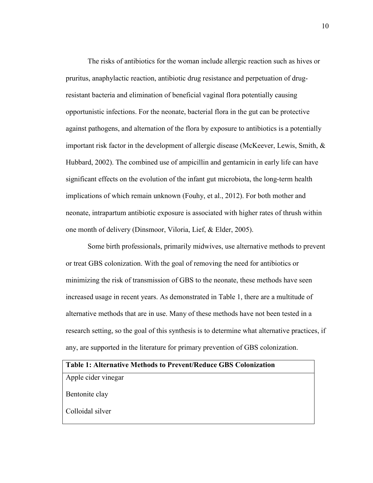The risks of antibiotics for the woman include allergic reaction such as hives or pruritus, anaphylactic reaction, antibiotic drug resistance and perpetuation of drugresistant bacteria and elimination of beneficial vaginal flora potentially causing opportunistic infections. For the neonate, bacterial flora in the gut can be protective against pathogens, and alternation of the flora by exposure to antibiotics is a potentially important risk factor in the development of allergic disease (McKeever, Lewis, Smith, & Hubbard, 2002). The combined use of ampicillin and gentamicin in early life can have significant effects on the evolution of the infant gut microbiota, the long-term health implications of which remain unknown (Fouhy, et al., 2012). For both mother and neonate, intrapartum antibiotic exposure is associated with higher rates of thrush within one month of delivery (Dinsmoor, Viloria, Lief, & Elder, 2005).

Some birth professionals, primarily midwives, use alternative methods to prevent or treat GBS colonization. With the goal of removing the need for antibiotics or minimizing the risk of transmission of GBS to the neonate, these methods have seen increased usage in recent years. As demonstrated in Table 1, there are a multitude of alternative methods that are in use. Many of these methods have not been tested in a research setting, so the goal of this synthesis is to determine what alternative practices, if any, are supported in the literature for primary prevention of GBS colonization.

| <b>Table 1: Alternative Methods to Prevent/Reduce GBS Colonization</b> |  |
|------------------------------------------------------------------------|--|
| Apple cider vinegar                                                    |  |
| Bentonite clay                                                         |  |
| Colloidal silver                                                       |  |
|                                                                        |  |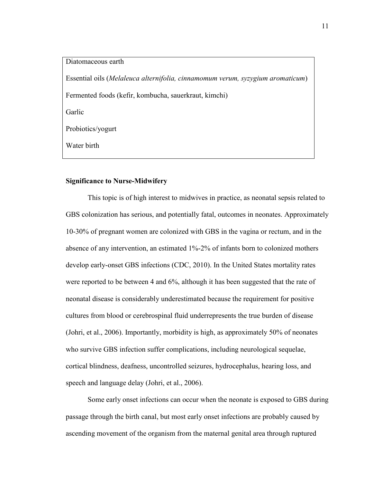Diatomaceous earth Essential oils (*Melaleuca alternifolia, cinnamomum verum, syzygium aromaticum*) Fermented foods (kefir, kombucha, sauerkraut, kimchi) Garlic Probiotics/yogurt Water birth

#### **Significance to Nurse-Midwifery**

This topic is of high interest to midwives in practice, as neonatal sepsis related to GBS colonization has serious, and potentially fatal, outcomes in neonates. Approximately 10-30% of pregnant women are colonized with GBS in the vagina or rectum, and in the absence of any intervention, an estimated 1%-2% of infants born to colonized mothers develop early-onset GBS infections (CDC, 2010). In the United States mortality rates were reported to be between 4 and 6%, although it has been suggested that the rate of neonatal disease is considerably underestimated because the requirement for positive cultures from blood or cerebrospinal fluid underrepresents the true burden of disease (Johri, et al., 2006). Importantly, morbidity is high, as approximately 50% of neonates who survive GBS infection suffer complications, including neurological sequelae, cortical blindness, deafness, uncontrolled seizures, hydrocephalus, hearing loss, and speech and language delay (Johri, et al., 2006).

Some early onset infections can occur when the neonate is exposed to GBS during passage through the birth canal, but most early onset infections are probably caused by ascending movement of the organism from the maternal genital area through ruptured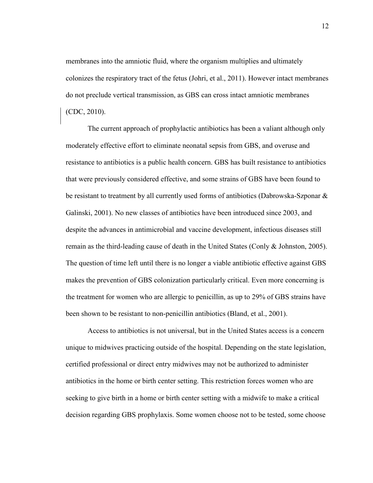membranes into the amniotic fluid, where the organism multiplies and ultimately colonizes the respiratory tract of the fetus (Johri, et al., 2011). However intact membranes do not preclude vertical transmission, as GBS can cross intact amniotic membranes (CDC, 2010).

The current approach of prophylactic antibiotics has been a valiant although only moderately effective effort to eliminate neonatal sepsis from GBS, and overuse and resistance to antibiotics is a public health concern. GBS has built resistance to antibiotics that were previously considered effective, and some strains of GBS have been found to be resistant to treatment by all currently used forms of antibiotics (Dabrowska-Szponar & Galinski, 2001). No new classes of antibiotics have been introduced since 2003, and despite the advances in antimicrobial and vaccine development, infectious diseases still remain as the third-leading cause of death in the United States (Conly & Johnston, 2005). The question of time left until there is no longer a viable antibiotic effective against GBS makes the prevention of GBS colonization particularly critical. Even more concerning is the treatment for women who are allergic to penicillin, as up to 29% of GBS strains have been shown to be resistant to non-penicillin antibiotics (Bland, et al., 2001).

Access to antibiotics is not universal, but in the United States access is a concern unique to midwives practicing outside of the hospital. Depending on the state legislation, certified professional or direct entry midwives may not be authorized to administer antibiotics in the home or birth center setting. This restriction forces women who are seeking to give birth in a home or birth center setting with a midwife to make a critical decision regarding GBS prophylaxis. Some women choose not to be tested, some choose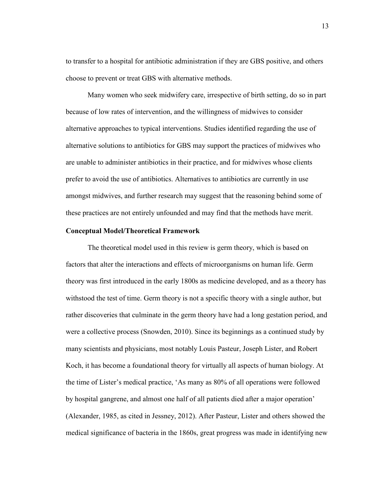to transfer to a hospital for antibiotic administration if they are GBS positive, and others choose to prevent or treat GBS with alternative methods.

Many women who seek midwifery care, irrespective of birth setting, do so in part because of low rates of intervention, and the willingness of midwives to consider alternative approaches to typical interventions. Studies identified regarding the use of alternative solutions to antibiotics for GBS may support the practices of midwives who are unable to administer antibiotics in their practice, and for midwives whose clients prefer to avoid the use of antibiotics. Alternatives to antibiotics are currently in use amongst midwives, and further research may suggest that the reasoning behind some of these practices are not entirely unfounded and may find that the methods have merit.

#### **Conceptual Model/Theoretical Framework**

The theoretical model used in this review is germ theory, which is based on factors that alter the interactions and effects of microorganisms on human life. Germ theory was first introduced in the early 1800s as medicine developed, and as a theory has withstood the test of time. Germ theory is not a specific theory with a single author, but rather discoveries that culminate in the germ theory have had a long gestation period, and were a collective process (Snowden, 2010). Since its beginnings as a continued study by many scientists and physicians, most notably Louis Pasteur, Joseph Lister, and Robert Koch, it has become a foundational theory for virtually all aspects of human biology. At the time of Lister's medical practice, 'As many as 80% of all operations were followed by hospital gangrene, and almost one half of all patients died after a major operation' (Alexander, 1985, as cited in Jessney, 2012). After Pasteur, Lister and others showed the medical significance of bacteria in the 1860s, great progress was made in identifying new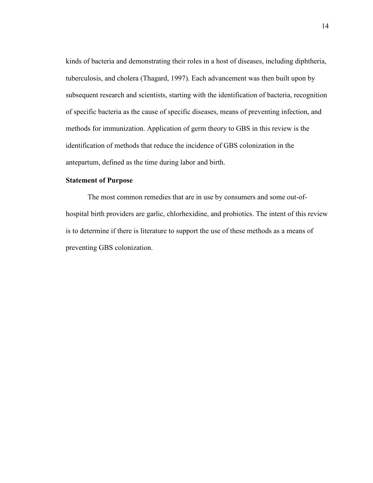kinds of bacteria and demonstrating their roles in a host of diseases, including diphtheria, tuberculosis, and cholera (Thagard, 1997). Each advancement was then built upon by subsequent research and scientists, starting with the identification of bacteria, recognition of specific bacteria as the cause of specific diseases, means of preventing infection, and methods for immunization. Application of germ theory to GBS in this review is the identification of methods that reduce the incidence of GBS colonization in the antepartum, defined as the time during labor and birth.

#### **Statement of Purpose**

The most common remedies that are in use by consumers and some out-ofhospital birth providers are garlic, chlorhexidine, and probiotics. The intent of this review is to determine if there is literature to support the use of these methods as a means of preventing GBS colonization.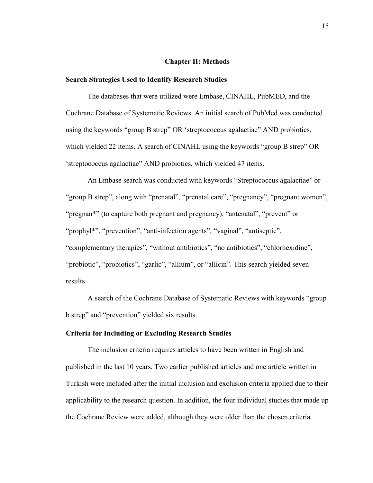#### **Chapter II: Methods**

#### **Search Strategies Used to Identify Research Studies**

The databases that were utilized were Embase, CINAHL, PubMED, and the Cochrane Database of Systematic Reviews. An initial search of PubMed was conducted using the keywords "group B strep" OR 'streptococcus agalactiae" AND probiotics, which yielded 22 items. A search of CINAHL using the keywords "group B strep" OR 'streptococcus agalactiae" AND probiotics, which yielded 47 items.

An Embase search was conducted with keywords "Streptococcus agalactiae" or "group B strep", along with "prenatal", "prenatal care", "pregnancy", "pregnant women", "pregnan\*" (to capture both pregnant and pregnancy), "antenatal", "prevent" or "prophyl\*", "prevention", "anti-infection agents", "vaginal", "antiseptic", "complementary therapies", "without antibiotics", "no antibiotics", "chlorhexidine", "probiotic", "probiotics", "garlic", "allium", or "allicin". This search yielded seven results.

A search of the Cochrane Database of Systematic Reviews with keywords "group b strep" and "prevention" yielded six results.

#### **Criteria for Including or Excluding Research Studies**

The inclusion criteria requires articles to have been written in English and published in the last 10 years. Two earlier published articles and one article written in Turkish were included after the initial inclusion and exclusion criteria applied due to their applicability to the research question. In addition, the four individual studies that made up the Cochrane Review were added, although they were older than the chosen criteria.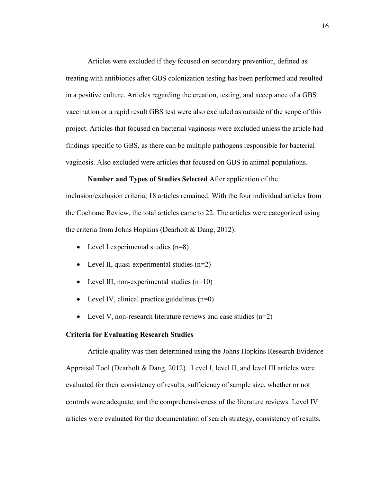Articles were excluded if they focused on secondary prevention, defined as treating with antibiotics after GBS colonization testing has been performed and resulted in a positive culture. Articles regarding the creation, testing, and acceptance of a GBS vaccination or a rapid result GBS test were also excluded as outside of the scope of this project. Articles that focused on bacterial vaginosis were excluded unless the article had findings specific to GBS, as there can be multiple pathogens responsible for bacterial vaginosis. Also excluded were articles that focused on GBS in animal populations.

**Number and Types of Studies Selected** After application of the inclusion/exclusion criteria, 18 articles remained. With the four individual articles from the Cochrane Review, the total articles came to 22. The articles were categorized using the criteria from Johns Hopkins (Dearholt & Dang, 2012):

- Level I experimental studies  $(n=8)$
- Level II, quasi-experimental studies (n=2)
- Level III, non-experimental studies  $(n=10)$
- Level IV, clinical practice guidelines  $(n=0)$
- Level V, non-research literature reviews and case studies  $(n=2)$

#### **Criteria for Evaluating Research Studies**

Article quality was then determined using the Johns Hopkins Research Evidence Appraisal Tool (Dearholt & Dang, 2012). Level I, level II, and level III articles were evaluated for their consistency of results, sufficiency of sample size, whether or not controls were adequate, and the comprehensiveness of the literature reviews. Level IV articles were evaluated for the documentation of search strategy, consistency of results,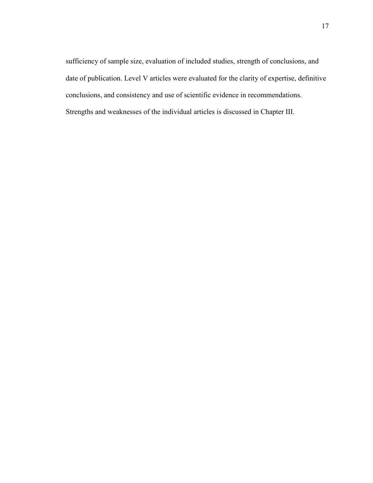sufficiency of sample size, evaluation of included studies, strength of conclusions, and date of publication. Level V articles were evaluated for the clarity of expertise, definitive conclusions, and consistency and use of scientific evidence in recommendations. Strengths and weaknesses of the individual articles is discussed in Chapter III.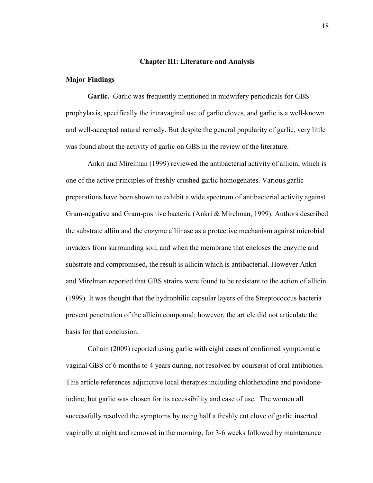#### **Chapter III: Literature and Analysis**

#### **Major Findings**

**Garlic.** Garlic was frequently mentioned in midwifery periodicals for GBS prophylaxis, specifically the intravaginal use of garlic cloves, and garlic is a well-known and well-accepted natural remedy. But despite the general popularity of garlic, very little was found about the activity of garlic on GBS in the review of the literature.

Ankri and Mirelman (1999) reviewed the antibacterial activity of allicin, which is one of the active principles of freshly crushed garlic homogenates. Various garlic preparations have been shown to exhibit a wide spectrum of antibacterial activity against Gram-negative and Gram-positive bacteria (Ankri & Mirelman, 1999). Authors described the substrate alliin and the enzyme alliinase as a protective mechanism against microbial invaders from surrounding soil, and when the membrane that encloses the enzyme and substrate and compromised, the result is allicin which is antibacterial. However Ankri and Mirelman reported that GBS strains were found to be resistant to the action of allicin (1999). It was thought that the hydrophilic capsular layers of the Streptococcus bacteria prevent penetration of the allicin compound; however, the article did not articulate the basis for that conclusion.

Cohain (2009) reported using garlic with eight cases of confirmed symptomatic vaginal GBS of 6 months to 4 years during, not resolved by course(s) of oral antibiotics. This article references adjunctive local therapies including chlorhexidine and povidoneiodine, but garlic was chosen for its accessibility and ease of use. The women all successfully resolved the symptoms by using half a freshly cut clove of garlic inserted vaginally at night and removed in the morning, for 3-6 weeks followed by maintenance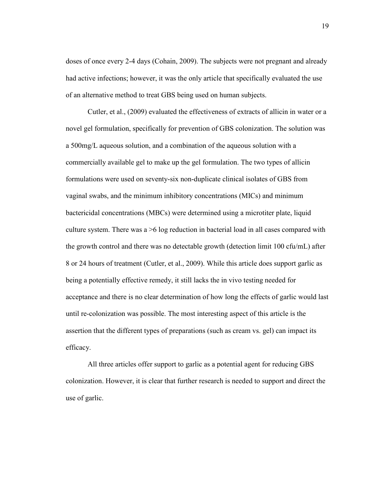doses of once every 2-4 days (Cohain, 2009). The subjects were not pregnant and already had active infections; however, it was the only article that specifically evaluated the use of an alternative method to treat GBS being used on human subjects.

Cutler, et al., (2009) evaluated the effectiveness of extracts of allicin in water or a novel gel formulation, specifically for prevention of GBS colonization. The solution was a 500mg/L aqueous solution, and a combination of the aqueous solution with a commercially available gel to make up the gel formulation. The two types of allicin formulations were used on seventy-six non-duplicate clinical isolates of GBS from vaginal swabs, and the minimum inhibitory concentrations (MICs) and minimum bactericidal concentrations (MBCs) were determined using a microtiter plate, liquid culture system. There was a >6 log reduction in bacterial load in all cases compared with the growth control and there was no detectable growth (detection limit 100 cfu/mL) after 8 or 24 hours of treatment (Cutler, et al., 2009). While this article does support garlic as being a potentially effective remedy, it still lacks the in vivo testing needed for acceptance and there is no clear determination of how long the effects of garlic would last until re-colonization was possible. The most interesting aspect of this article is the assertion that the different types of preparations (such as cream vs. gel) can impact its efficacy.

All three articles offer support to garlic as a potential agent for reducing GBS colonization. However, it is clear that further research is needed to support and direct the use of garlic.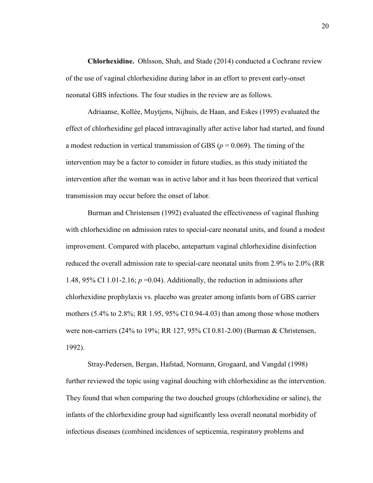**Chlorhexidine.** Ohlsson, Shah, and Stade (2014) conducted a Cochrane review of the use of vaginal chlorhexidine during labor in an effort to prevent early-onset neonatal GBS infections. The four studies in the review are as follows.

Adriaanse, Kollée, Muytjens, Nijhuis, de Haan, and Eskes (1995) evaluated the effect of chlorhexidine gel placed intravaginally after active labor had started, and found a modest reduction in vertical transmission of GBS ( $p = 0.069$ ). The timing of the intervention may be a factor to consider in future studies, as this study initiated the intervention after the woman was in active labor and it has been theorized that vertical transmission may occur before the onset of labor.

Burman and Christensen (1992) evaluated the effectiveness of vaginal flushing with chlorhexidine on admission rates to special-care neonatal units, and found a modest improvement. Compared with placebo, antepartum vaginal chlorhexidine disinfection reduced the overall admission rate to special-care neonatal units from 2.9% to 2.0% (RR 1.48,  $95\%$  CI 1.01-2.16;  $p = 0.04$ ). Additionally, the reduction in admissions after chlorhexidine prophylaxis vs. placebo was greater among infants born of GBS carrier mothers (5.4% to 2.8%; RR 1.95, 95% CI 0.94-4.03) than among those whose mothers were non-carriers (24% to 19%; RR 127, 95% CI 0.81-2.00) (Burman & Christensen, 1992).

Stray-Pedersen, Bergan, Hafstad, Normann, Grogaard, and Vangdal (1998) further reviewed the topic using vaginal douching with chlorhexidine as the intervention. They found that when comparing the two douched groups (chlorhexidine or saline), the infants of the chlorhexidine group had significantly less overall neonatal morbidity of infectious diseases (combined incidences of septicemia, respiratory problems and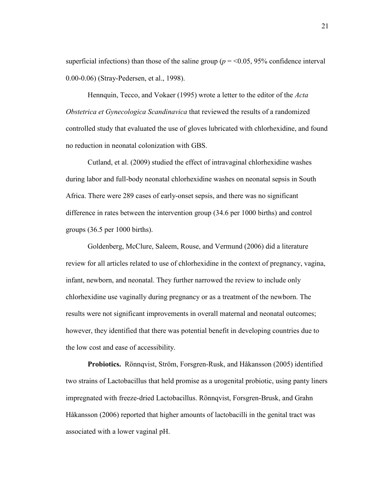superficial infections) than those of the saline group ( $p = 0.05$ , 95% confidence interval 0.00-0.06) (Stray-Pedersen, et al., 1998).

Hennquin, Tecco, and Vokaer (1995) wrote a letter to the editor of the *Acta Obstetrica et Gynecologica Scandinavica* that reviewed the results of a randomized controlled study that evaluated the use of gloves lubricated with chlorhexidine, and found no reduction in neonatal colonization with GBS.

Cutland, et al. (2009) studied the effect of intravaginal chlorhexidine washes during labor and full-body neonatal chlorhexidine washes on neonatal sepsis in South Africa. There were 289 cases of early-onset sepsis, and there was no significant difference in rates between the intervention group (34.6 per 1000 births) and control groups (36.5 per 1000 births).

Goldenberg, McClure, Saleem, Rouse, and Vermund (2006) did a literature review for all articles related to use of chlorhexidine in the context of pregnancy, vagina, infant, newborn, and neonatal. They further narrowed the review to include only chlorhexidine use vaginally during pregnancy or as a treatment of the newborn. The results were not significant improvements in overall maternal and neonatal outcomes; however, they identified that there was potential benefit in developing countries due to the low cost and ease of accessibility.

**Probiotics.** Rönnqvist, Ström, Forsgren-Rusk, and Håkansson (2005) identified two strains of Lactobacillus that held promise as a urogenital probiotic, using panty liners impregnated with freeze-dried Lactobacillus. Rönnqvist, Forsgren-Brusk, and Grahn Håkansson (2006) reported that higher amounts of lactobacilli in the genital tract was associated with a lower vaginal pH.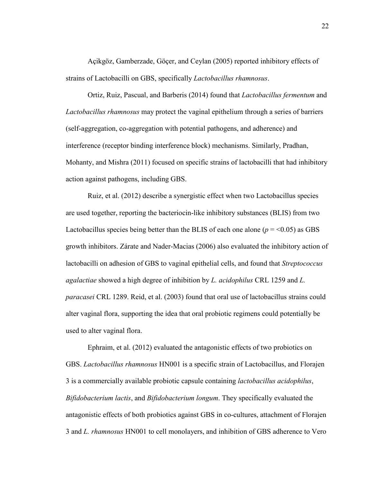Açikgöz, Gamberzade, Göçer, and Ceylan (2005) reported inhibitory effects of strains of Lactobacilli on GBS, specifically *Lactobacillus rhamnosus*.

Ortiz, Ruiz, Pascual, and Barberis (2014) found that *Lactobacillus fermentum* and *Lactobacillus rhamnosus* may protect the vaginal epithelium through a series of barriers (self-aggregation, co-aggregation with potential pathogens, and adherence) and interference (receptor binding interference block) mechanisms. Similarly, Pradhan, Mohanty, and Mishra (2011) focused on specific strains of lactobacilli that had inhibitory action against pathogens, including GBS.

Ruiz, et al. (2012) describe a synergistic effect when two Lactobacillus species are used together, reporting the bacteriocin-like inhibitory substances (BLIS) from two Lactobacillus species being better than the BLIS of each one alone  $(p = 0.05)$  as GBS growth inhibitors. Zárate and Nader-Macias (2006) also evaluated the inhibitory action of lactobacilli on adhesion of GBS to vaginal epithelial cells, and found that *Streptococcus agalactiae* showed a high degree of inhibition by *L. acidophilus* CRL 1259 and *L. paracasei* CRL 1289. Reid, et al. (2003) found that oral use of lactobacillus strains could alter vaginal flora, supporting the idea that oral probiotic regimens could potentially be used to alter vaginal flora.

Ephraim, et al. (2012) evaluated the antagonistic effects of two probiotics on GBS. *Lactobacillus rhamnosus* HN001 is a specific strain of Lactobacillus, and Florajen 3 is a commercially available probiotic capsule containing *lactobacillus acidophilus*, *Bifidobacterium lactis*, and *Bifidobacterium longum*. They specifically evaluated the antagonistic effects of both probiotics against GBS in co-cultures, attachment of Florajen 3 and *L. rhamnosus* HN001 to cell monolayers, and inhibition of GBS adherence to Vero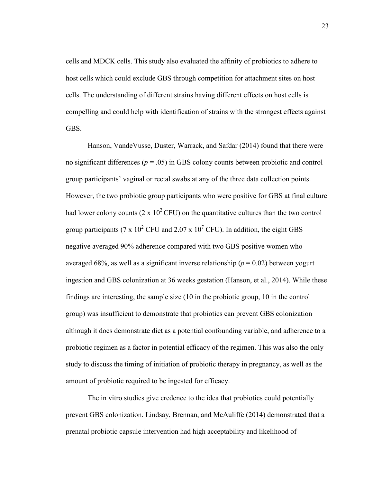cells and MDCK cells. This study also evaluated the affinity of probiotics to adhere to host cells which could exclude GBS through competition for attachment sites on host cells. The understanding of different strains having different effects on host cells is compelling and could help with identification of strains with the strongest effects against GBS.

Hanson, VandeVusse, Duster, Warrack, and Safdar (2014) found that there were no significant differences ( $p = .05$ ) in GBS colony counts between probiotic and control group participants' vaginal or rectal swabs at any of the three data collection points. However, the two probiotic group participants who were positive for GBS at final culture had lower colony counts (2 x  $10^2$  CFU) on the quantitative cultures than the two control group participants (7 x  $10^2$  CFU and 2.07 x  $10^7$  CFU). In addition, the eight GBS negative averaged 90% adherence compared with two GBS positive women who averaged 68%, as well as a significant inverse relationship ( $p = 0.02$ ) between yogurt ingestion and GBS colonization at 36 weeks gestation (Hanson, et al., 2014). While these findings are interesting, the sample size (10 in the probiotic group, 10 in the control group) was insufficient to demonstrate that probiotics can prevent GBS colonization although it does demonstrate diet as a potential confounding variable, and adherence to a probiotic regimen as a factor in potential efficacy of the regimen. This was also the only study to discuss the timing of initiation of probiotic therapy in pregnancy, as well as the amount of probiotic required to be ingested for efficacy.

The in vitro studies give credence to the idea that probiotics could potentially prevent GBS colonization. Lindsay, Brennan, and McAuliffe (2014) demonstrated that a prenatal probiotic capsule intervention had high acceptability and likelihood of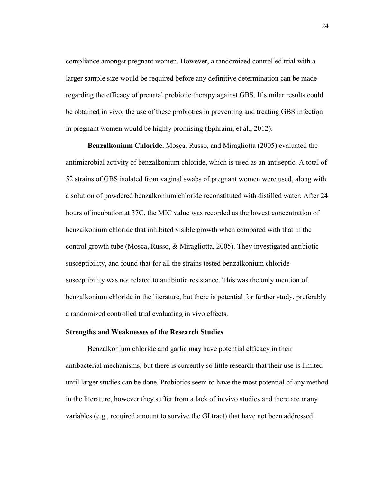compliance amongst pregnant women. However, a randomized controlled trial with a larger sample size would be required before any definitive determination can be made regarding the efficacy of prenatal probiotic therapy against GBS. If similar results could be obtained in vivo, the use of these probiotics in preventing and treating GBS infection in pregnant women would be highly promising (Ephraim, et al., 2012).

**Benzalkonium Chloride.** Mosca, Russo, and Miragliotta (2005) evaluated the antimicrobial activity of benzalkonium chloride, which is used as an antiseptic. A total of 52 strains of GBS isolated from vaginal swabs of pregnant women were used, along with a solution of powdered benzalkonium chloride reconstituted with distilled water. After 24 hours of incubation at 37C, the MIC value was recorded as the lowest concentration of benzalkonium chloride that inhibited visible growth when compared with that in the control growth tube (Mosca, Russo, & Miragliotta, 2005). They investigated antibiotic susceptibility, and found that for all the strains tested benzalkonium chloride susceptibility was not related to antibiotic resistance. This was the only mention of benzalkonium chloride in the literature, but there is potential for further study, preferably a randomized controlled trial evaluating in vivo effects.

#### **Strengths and Weaknesses of the Research Studies**

Benzalkonium chloride and garlic may have potential efficacy in their antibacterial mechanisms, but there is currently so little research that their use is limited until larger studies can be done. Probiotics seem to have the most potential of any method in the literature, however they suffer from a lack of in vivo studies and there are many variables (e.g., required amount to survive the GI tract) that have not been addressed.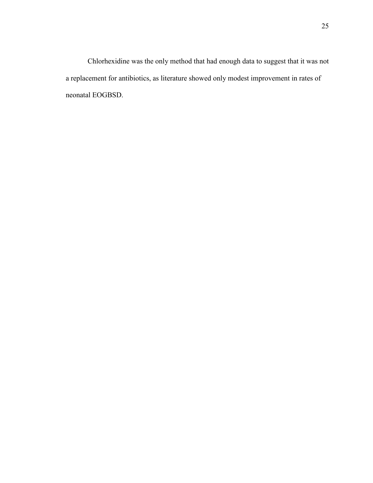Chlorhexidine was the only method that had enough data to suggest that it was not a replacement for antibiotics, as literature showed only modest improvement in rates of neonatal EOGBSD.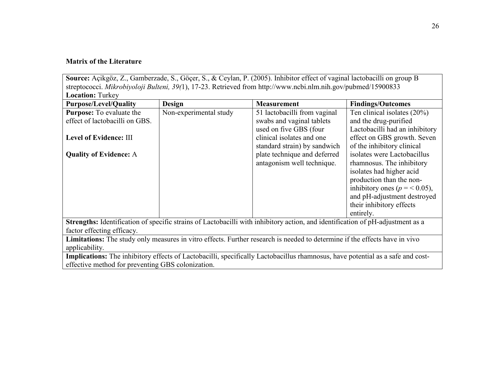### **Matrix of the Literature**

**Source:** Açikgöz, Z., Gamberzade, S., Göçer, S., & Ceylan, P. (2005). Inhibitor effect of vaginal lactobacilli on group B streptococci. *Mikrobiyoloji Bulteni, 39(*1), 17-23. Retrieved from http://www.ncbi.nlm.nih.gov/pubmed/15900833 **Location:** Turkey

| <b>Purpose/Level/Quality</b>                                                                                                   | <b>Design</b>          | <b>Measurement</b>           | <b>Findings/Outcomes</b>        |  |
|--------------------------------------------------------------------------------------------------------------------------------|------------------------|------------------------------|---------------------------------|--|
| <b>Purpose:</b> To evaluate the                                                                                                | Non-experimental study | 51 lactobacilli from vaginal | Ten clinical isolates $(20\%)$  |  |
| effect of lactobacilli on GBS.                                                                                                 |                        | swabs and vaginal tablets    | and the drug-purified           |  |
|                                                                                                                                |                        | used on five GBS (four       | Lactobacilli had an inhibitory  |  |
| Level of Evidence: III                                                                                                         |                        | clinical isolates and one    | effect on GBS growth. Seven     |  |
|                                                                                                                                |                        | standard strain) by sandwich | of the inhibitory clinical      |  |
| <b>Quality of Evidence: A</b>                                                                                                  |                        | plate technique and deferred | isolates were Lactobacillus     |  |
|                                                                                                                                |                        | antagonism well technique.   | rhamnosus. The inhibitory       |  |
|                                                                                                                                |                        |                              | isolates had higher acid        |  |
|                                                                                                                                |                        |                              | production than the non-        |  |
|                                                                                                                                |                        |                              | inhibitory ones ( $p = 0.05$ ), |  |
|                                                                                                                                |                        |                              | and pH-adjustment destroyed     |  |
|                                                                                                                                |                        |                              | their inhibitory effects        |  |
|                                                                                                                                |                        |                              | entirely.                       |  |
| Strengths: Identification of specific strains of Lactobacilli with inhibitory action, and identification of pH-adjustment as a |                        |                              |                                 |  |
| factor effecting efficacy.                                                                                                     |                        |                              |                                 |  |
| Limitations: The study only measures in vitro effects. Further research is needed to determine if the effects have in vivo     |                        |                              |                                 |  |
| applicability.                                                                                                                 |                        |                              |                                 |  |
| Implications: The inhibitory effects of Lactobacilli, specifically Lactobacillus rhamnosus, have potential as a safe and cost- |                        |                              |                                 |  |
| effective method for preventing GBS colonization.                                                                              |                        |                              |                                 |  |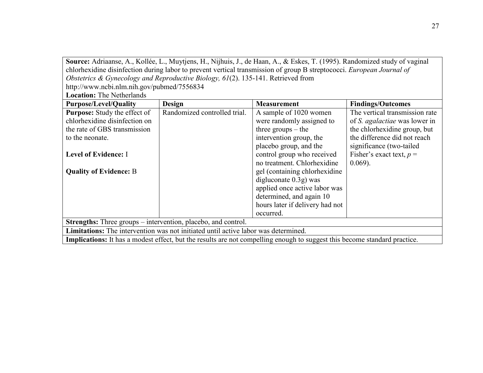**Source:** Adriaanse, A., Kollée, L., Muytjens, H., Nijhuis, J., de Haan, A., & Eskes, T. (1995). Randomized study of vaginal chlorhexidine disinfection during labor to prevent vertical transmission of group B streptococci. *European Journal of Obstetrics & Gynecology and Reproductive Biology, 61*(2). 135-141. Retrieved from http://www.ncbi.nlm.nih.gov/pubmed/7556834

**Location:** The Netherlands

| <b>Purpose/Level/Quality</b>                                                                                                     | <b>Design</b>                | <b>Measurement</b>              | <b>Findings/Outcomes</b>             |  |
|----------------------------------------------------------------------------------------------------------------------------------|------------------------------|---------------------------------|--------------------------------------|--|
| <b>Purpose:</b> Study the effect of                                                                                              | Randomized controlled trial. | A sample of 1020 women          | The vertical transmission rate       |  |
| chlorhexidine disinfection on                                                                                                    |                              | were randomly assigned to       | of <i>S. agalactiae</i> was lower in |  |
| the rate of GBS transmission                                                                                                     |                              | three $groups - the$            | the chlorhexidine group, but         |  |
| to the neonate.                                                                                                                  |                              | intervention group, the         | the difference did not reach         |  |
|                                                                                                                                  |                              | placebo group, and the          | significance (two-tailed             |  |
| Level of Evidence: I                                                                                                             |                              | control group who received      | Fisher's exact text, $p =$           |  |
|                                                                                                                                  |                              | no treatment. Chlorhexidine     | $0.069$ ).                           |  |
| <b>Quality of Evidence: B</b>                                                                                                    |                              | gel (containing chlorhexidine)  |                                      |  |
|                                                                                                                                  |                              | digluconate $0.3g$ ) was        |                                      |  |
|                                                                                                                                  |                              | applied once active labor was   |                                      |  |
|                                                                                                                                  |                              | determined, and again 10        |                                      |  |
|                                                                                                                                  |                              | hours later if delivery had not |                                      |  |
|                                                                                                                                  |                              | occurred.                       |                                      |  |
| <b>Strengths:</b> Three groups – intervention, placebo, and control.                                                             |                              |                                 |                                      |  |
| <b>Limitations:</b> The intervention was not initiated until active labor was determined.                                        |                              |                                 |                                      |  |
| <b>Implications:</b> It has a modest effect, but the results are not compelling enough to suggest this become standard practice. |                              |                                 |                                      |  |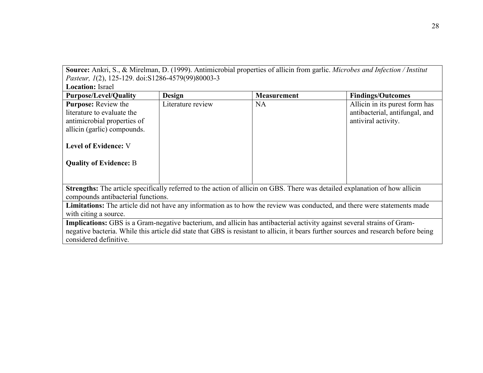**Source:** Ankri, S., & Mirelman, D. (1999). Antimicrobial properties of allicin from garlic. *Microbes and Infection / Institut Pasteur, 1*(2), 125-129. doi:S1286-4579(99)80003-3

| <b>Location: Israel</b>                                                                                                              |                   |                    |                                |  |
|--------------------------------------------------------------------------------------------------------------------------------------|-------------------|--------------------|--------------------------------|--|
| <b>Purpose/Level/Quality</b>                                                                                                         | Design            | <b>Measurement</b> | <b>Findings/Outcomes</b>       |  |
| <b>Purpose:</b> Review the                                                                                                           | Literature review | <b>NA</b>          | Allicin in its purest form has |  |
| literature to evaluate the                                                                                                           |                   |                    | antibacterial, antifungal, and |  |
| antimicrobial properties of                                                                                                          |                   |                    | antiviral activity.            |  |
| allicin (garlic) compounds.                                                                                                          |                   |                    |                                |  |
|                                                                                                                                      |                   |                    |                                |  |
| <b>Level of Evidence: V</b>                                                                                                          |                   |                    |                                |  |
|                                                                                                                                      |                   |                    |                                |  |
| <b>Quality of Evidence: B</b>                                                                                                        |                   |                    |                                |  |
|                                                                                                                                      |                   |                    |                                |  |
|                                                                                                                                      |                   |                    |                                |  |
| Strengths: The article specifically referred to the action of allicin on GBS. There was detailed explanation of how allicin          |                   |                    |                                |  |
| compounds antibacterial functions.                                                                                                   |                   |                    |                                |  |
| Limitations: The article did not have any information as to how the review was conducted, and there were statements made             |                   |                    |                                |  |
| with citing a source.                                                                                                                |                   |                    |                                |  |
| Implications: GBS is a Gram-negative bacterium, and allicin has antibacterial activity against several strains of Gram-              |                   |                    |                                |  |
| negative bacteria. While this article did state that GBS is resistant to allicin, it bears further sources and research before being |                   |                    |                                |  |
| considered definitive.                                                                                                               |                   |                    |                                |  |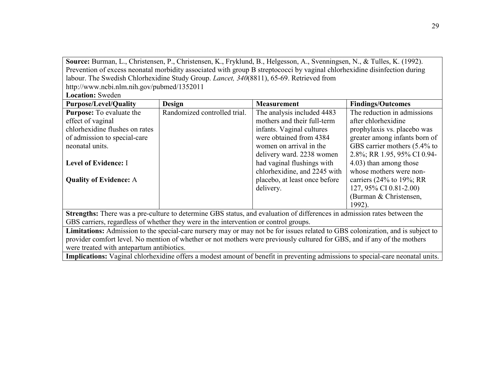**Source:** Burman, L., Christensen, P., Christensen, K., Fryklund, B., Helgesson, A., Svenningsen, N., & Tulles, K. (1992). Prevention of excess neonatal morbidity associated with group B streptococci by vaginal chlorhexidine disinfection during labour. The Swedish Chlorhexidine Study Group. *Lancet, 340*(8811), 65-69. Retrieved from http://www.ncbi.nlm.nih.gov/pubmed/1352011

**Location:** Sweden

| <b>Purpose/Level/Quality</b>                                                                                                   | <b>Design</b>                | <b>Measurement</b>            | <b>Findings/Outcomes</b>        |  |
|--------------------------------------------------------------------------------------------------------------------------------|------------------------------|-------------------------------|---------------------------------|--|
| <b>Purpose:</b> To evaluate the                                                                                                | Randomized controlled trial. | The analysis included 4483    | The reduction in admissions     |  |
| effect of vaginal                                                                                                              |                              | mothers and their full-term   | after chlorhexidine             |  |
| chlorhexidine flushes on rates                                                                                                 |                              | infants. Vaginal cultures     | prophylaxis vs. placebo was     |  |
| of admission to special-care                                                                                                   |                              | were obtained from 4384       | greater among infants born of   |  |
| neonatal units.                                                                                                                |                              | women on arrival in the       | GBS carrier mothers (5.4% to    |  |
|                                                                                                                                |                              | delivery ward. 2238 women     | 2.8%; RR 1.95, 95% CI 0.94-     |  |
| Level of Evidence: I                                                                                                           |                              | had vaginal flushings with    | 4.03) than among those          |  |
|                                                                                                                                |                              | chlorhexidine, and 2245 with  | whose mothers were non-         |  |
| <b>Quality of Evidence: A</b>                                                                                                  |                              | placebo, at least once before | carriers $(24\%$ to $19\%$ ; RR |  |
|                                                                                                                                |                              | delivery.                     | 127, 95% CI 0.81-2.00)          |  |
|                                                                                                                                |                              |                               | (Burman & Christensen,          |  |
|                                                                                                                                |                              |                               | 1992).                          |  |
| Strengths: There was a pre-culture to determine GBS status, and evaluation of differences in admission rates between the       |                              |                               |                                 |  |
| GBS carriers, regardless of whether they were in the intervention or control groups.                                           |                              |                               |                                 |  |
| Limitations: Admission to the special-care nursery may or may not be for issues related to GBS colonization, and is subject to |                              |                               |                                 |  |
| provider comfort level. No mention of whether or not mothers were previously cultured for GBS, and if any of the mothers       |                              |                               |                                 |  |
| were treated with antepartum antibiotics.                                                                                      |                              |                               |                                 |  |

**Implications:** Vaginal chlorhexidine offers a modest amount of benefit in preventing admissions to special-care neonatal units.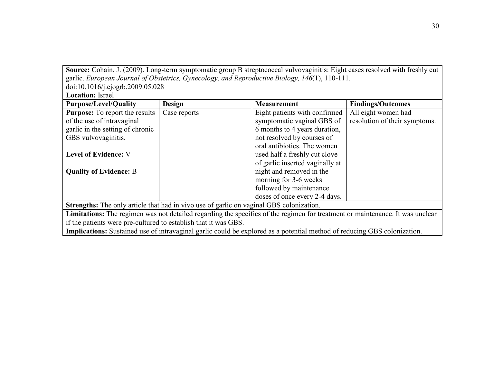Source: Cohain, J. (2009). Long-term symptomatic group B streptococcal vulvovaginitis: Eight cases resolved with freshly cut garlic. *European Journal of Obstetrics, Gynecology, and Reproductive Biology, 146*(1), 110-111. doi:10.1016/j.ejogrb.2009.05.028

Location: Israel

| <b>Purpose/Level/Quality</b>                                                                                                  | <b>Design</b> | <b>Measurement</b>              | <b>Findings/Outcomes</b>      |  |
|-------------------------------------------------------------------------------------------------------------------------------|---------------|---------------------------------|-------------------------------|--|
| <b>Purpose:</b> To report the results                                                                                         | Case reports  | Eight patients with confirmed   | All eight women had           |  |
| of the use of intravaginal                                                                                                    |               | symptomatic vaginal GBS of      | resolution of their symptoms. |  |
| garlic in the setting of chronic                                                                                              |               | 6 months to 4 years duration,   |                               |  |
| GBS vulvovaginitis.                                                                                                           |               | not resolved by courses of      |                               |  |
|                                                                                                                               |               | oral antibiotics. The women     |                               |  |
| <b>Level of Evidence: V</b>                                                                                                   |               | used half a freshly cut clove   |                               |  |
|                                                                                                                               |               | of garlic inserted vaginally at |                               |  |
| <b>Quality of Evidence: B</b>                                                                                                 |               | night and removed in the        |                               |  |
|                                                                                                                               |               | morning for 3-6 weeks           |                               |  |
|                                                                                                                               |               | followed by maintenance         |                               |  |
|                                                                                                                               |               | doses of once every 2-4 days.   |                               |  |
| Strengths: The only article that had in vivo use of garlic on vaginal GBS colonization.                                       |               |                                 |                               |  |
| Limitations: The regimen was not detailed regarding the specifics of the regimen for treatment or maintenance. It was unclear |               |                                 |                               |  |
| if the patients were pre-cultured to establish that it was GBS.                                                               |               |                                 |                               |  |
| Implications: Sustained use of intravaginal garlic could be explored as a potential method of reducing GBS colonization.      |               |                                 |                               |  |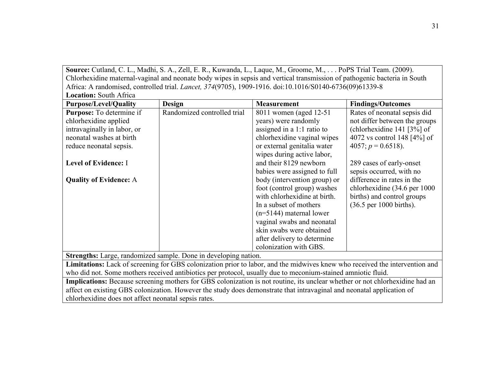Source: Cutland, C. L., Madhi, S. A., Zell, E. R., Kuwanda, L., Laque, M., Groome, M., . . . PoPS Trial Team. (2009). Chlorhexidine maternal-vaginal and neonate body wipes in sepsis and vertical transmission of pathogenic bacteria in South Africa: A randomised, controlled trial. *Lancet, 374*(9705), 1909-1916. doi:10.1016/S0140-6736(09)61339-8 **Location:** South Africa

| Locauon. Soum Anica                                                                                                          |                                                                 |                              |                                            |
|------------------------------------------------------------------------------------------------------------------------------|-----------------------------------------------------------------|------------------------------|--------------------------------------------|
| <b>Purpose/Level/Quality</b>                                                                                                 | Design                                                          | <b>Measurement</b>           | <b>Findings/Outcomes</b>                   |
| <b>Purpose:</b> To determine if                                                                                              | Randomized controlled trial                                     | 8011 women (aged 12-51)      | Rates of neonatal sepsis did               |
| chlorhexidine applied                                                                                                        |                                                                 | years) were randomly         | not differ between the groups              |
| intravaginally in labor, or                                                                                                  |                                                                 | assigned in a $1:1$ ratio to | (chlorhexidine 141 $[3\%]$ of              |
| neonatal washes at birth                                                                                                     |                                                                 | chlorhexidine vaginal wipes  | 4072 vs control 148 $[4\%]$ of             |
| reduce neonatal sepsis.                                                                                                      |                                                                 | or external genitalia water  | 4057; $p = 0.6518$ ).                      |
|                                                                                                                              |                                                                 | wipes during active labor,   |                                            |
| Level of Evidence: I                                                                                                         |                                                                 | and their 8129 newborn       | 289 cases of early-onset                   |
|                                                                                                                              |                                                                 | babies were assigned to full | sepsis occurred, with no                   |
| <b>Quality of Evidence: A</b>                                                                                                |                                                                 | body (intervention group) or | difference in rates in the                 |
|                                                                                                                              |                                                                 | foot (control group) washes  | chlorhexidine (34.6 per 1000               |
|                                                                                                                              |                                                                 | with chlorhexidine at birth. | births) and control groups                 |
|                                                                                                                              |                                                                 | In a subset of mothers       | $(36.5 \text{ per } 1000 \text{ births}).$ |
|                                                                                                                              |                                                                 | $(n=5144)$ maternal lower    |                                            |
|                                                                                                                              |                                                                 | vaginal swabs and neonatal   |                                            |
|                                                                                                                              |                                                                 | skin swabs were obtained     |                                            |
|                                                                                                                              |                                                                 | after delivery to determine  |                                            |
|                                                                                                                              |                                                                 | colonization with GBS.       |                                            |
|                                                                                                                              | Strengths: Large, randomized sample. Done in developing nation. |                              |                                            |
| Limitations: Lack of screening for GBS colonization prior to labor, and the midwives knew who received the intervention and  |                                                                 |                              |                                            |
| who did not. Some mothers received antibiotics per protocol, usually due to meconium-stained amniotic fluid.                 |                                                                 |                              |                                            |
| Implications: Because screening mothers for GBS colonization is not routine, its unclear whether or not chlorhexidine had an |                                                                 |                              |                                            |
| affect on existing GBS colonization. However the study does demonstrate that intravaginal and neonatal application of        |                                                                 |                              |                                            |
| chlorhexidine does not affect neonatal sepsis rates.                                                                         |                                                                 |                              |                                            |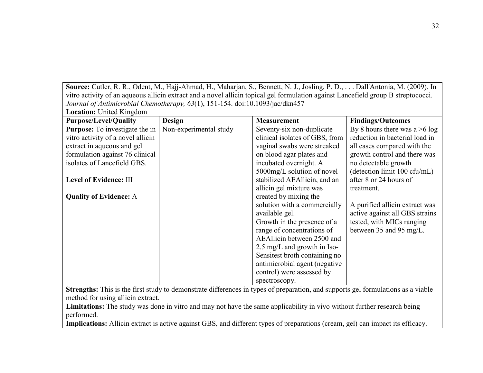**Source:** Cutler, R. R., Odent, M., Hajj-Ahmad, H., Maharjan, S., Bennett, N. J., Josling, P. D., . . . Dall'Antonia, M. (2009). In vitro activity of an aqueous allicin extract and a novel allicin topical gel formulation against Lancefield group B streptococci. *Journal of Antimicrobial Chemotherapy, 63*(1), 151-154. doi:10.1093/jac/dkn457

**Location:** United Kingdom **Purpose/Level/Quality Design Measurement Findings/Outcomes Purpose:** To investigate the in Non-experimental study Seventy-six non-duplicate By 8 hours there was **Purpose:** To investigate the in vitro activity of a novel allicin extract in aqueous and gel formulation against 76 clinical isolates of Lancefield GBS. **Level of Evidence:** III **Quality of Evidence:** A Seventy-six non-duplicate clinical isolates of GBS, from vaginal swabs were streaked on blood agar plates and incubated overnight. A 5000mg/L solution of novel stabilized AEAllicin, and an allicin gel mixture was created by mixing the solution with a commercially available gel. Growth in the presence of a range of concentrations of AEAllicin between 2500 and 2.5 mg/L and growth in Iso-Sensitest broth containing no antimicrobial agent (negative control) were assessed by spectroscopy. By 8 hours there was  $a > 6 \log$ reduction in bacterial load in all cases compared with the growth control and there was no detectable growth (detection limit 100 cfu/mL) after 8 or 24 hours of treatment. A purified allicin extract was active against all GBS strains tested, with MICs ranging between 35 and 95 mg/L.

**Strengths:** This is the first study to demonstrate differences in types of preparation, and supports gel formulations as a viable method for using allicin extract.

**Limitations:** The study was done in vitro and may not have the same applicability in vivo without further research being performed.

**Implications:** Allicin extract is active against GBS, and different types of preparations (cream, gel) can impact its efficacy.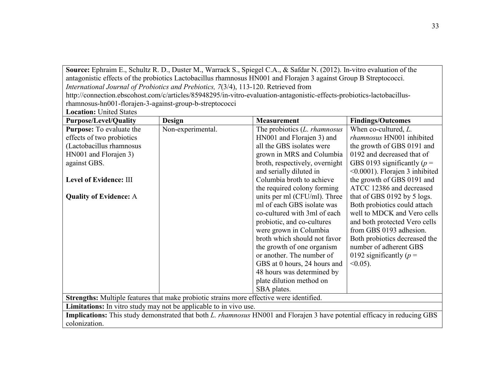**Source:** Ephraim E., Schultz R. D., Duster M., Warrack S., Spiegel C.A., & Safdar N. (2012). In-vitro evaluation of the antagonistic effects of the probiotics Lactobacillus rhamnosus HN001 and Florajen 3 against Group B Streptococci. *International Journal of Probiotics and Prebiotics, 7*(3/4), 113-120. Retrieved from

http://connection.ebscohost.com/c/articles/85948295/in-vitro-evaluation-antagonistic-effects-probiotics-lactobacillusrhamnosus-hn001-florajen-3-against-group-b-streptococci

**Location:** United States

| <b>Purpose/Level/Quality</b>                                                                                                     | <b>Design</b>     | <b>Measurement</b>                   | <b>Findings/Outcomes</b>              |  |
|----------------------------------------------------------------------------------------------------------------------------------|-------------------|--------------------------------------|---------------------------------------|--|
| <b>Purpose:</b> To evaluate the                                                                                                  | Non-experimental. | The probiotics ( <i>L. rhamnosus</i> | When co-cultured, L.                  |  |
| effects of two probiotics                                                                                                        |                   | HN001 and Florajen 3) and            | rhamnosus HN001 inhibited             |  |
| (Lactobacillus rhamnosus                                                                                                         |                   | all the GBS isolates were            | the growth of GBS 0191 and            |  |
| HN001 and Florajen 3)                                                                                                            |                   | grown in MRS and Columbia            | 0192 and decreased that of            |  |
| against GBS.                                                                                                                     |                   | broth, respectively, overnight       | GBS 0193 significantly ( $p =$        |  |
|                                                                                                                                  |                   | and serially diluted in              | $\leq 0.0001$ ). Florajen 3 inhibited |  |
| Level of Evidence: III                                                                                                           |                   | Columbia broth to achieve            | the growth of GBS 0191 and            |  |
|                                                                                                                                  |                   | the required colony forming          | ATCC 12386 and decreased              |  |
| <b>Quality of Evidence: A</b>                                                                                                    |                   | units per ml (CFU/ml). Three         | that of GBS 0192 by 5 logs.           |  |
|                                                                                                                                  |                   | ml of each GBS isolate was           | Both probiotics could attach          |  |
|                                                                                                                                  |                   | co-cultured with 3ml of each         | well to MDCK and Vero cells           |  |
|                                                                                                                                  |                   | probiotic, and co-cultures           | and both protected Vero cells         |  |
|                                                                                                                                  |                   | were grown in Columbia               | from GBS 0193 adhesion.               |  |
|                                                                                                                                  |                   | broth which should not favor         | Both probiotics decreased the         |  |
|                                                                                                                                  |                   | the growth of one organism           | number of adherent GBS                |  |
|                                                                                                                                  |                   | or another. The number of            | 0192 significantly ( $p =$            |  |
|                                                                                                                                  |                   | GBS at 0 hours, 24 hours and         | $< 0.05$ ).                           |  |
|                                                                                                                                  |                   | 48 hours was determined by           |                                       |  |
|                                                                                                                                  |                   | plate dilution method on             |                                       |  |
|                                                                                                                                  |                   | SBA plates.                          |                                       |  |
| Strengths: Multiple features that make probiotic strains more effective were identified.                                         |                   |                                      |                                       |  |
| Limitations: In vitro study may not be applicable to in vivo use.                                                                |                   |                                      |                                       |  |
| Implications: This study demonstrated that both <i>L. rhamnosus</i> HN001 and Florajen 3 have potential efficacy in reducing GBS |                   |                                      |                                       |  |
| colonization.                                                                                                                    |                   |                                      |                                       |  |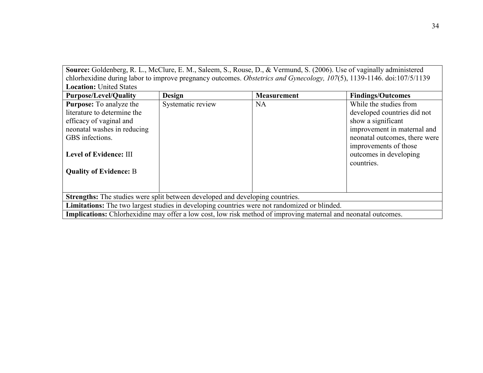**Source:** Goldenberg, R. L., McClure, E. M., Saleem, S., Rouse, D., & Vermund, S. (2006). Use of vaginally administered chlorhexidine during labor to improve pregnancy outcomes. *Obstetrics and Gynecology, 107*(5), 1139-1146. doi:107/5/1139 **Location:** United States

| <b>Purpose/Level/Quality</b>                                                                 | <b>Design</b>     | <b>Measurement</b>                                                                                             | <b>Findings/Outcomes</b>                                      |  |
|----------------------------------------------------------------------------------------------|-------------------|----------------------------------------------------------------------------------------------------------------|---------------------------------------------------------------|--|
| <b>Purpose:</b> To analyze the                                                               | Systematic review | <b>NA</b>                                                                                                      | While the studies from                                        |  |
| literature to determine the                                                                  |                   |                                                                                                                | developed countries did not                                   |  |
| efficacy of vaginal and                                                                      |                   |                                                                                                                | show a significant                                            |  |
| neonatal washes in reducing                                                                  |                   |                                                                                                                | improvement in maternal and                                   |  |
| GBS infections.                                                                              |                   |                                                                                                                | neonatal outcomes, there were                                 |  |
| <b>Level of Evidence: III</b><br><b>Quality of Evidence: B</b>                               |                   |                                                                                                                | improvements of those<br>outcomes in developing<br>countries. |  |
|                                                                                              |                   |                                                                                                                |                                                               |  |
| Strengths: The studies were split between developed and developing countries.                |                   |                                                                                                                |                                                               |  |
| Limitations: The two largest studies in developing countries were not randomized or blinded. |                   |                                                                                                                |                                                               |  |
|                                                                                              |                   | Implications: Chlorhexidine may offer a low cost, low risk method of improving maternal and neonatal outcomes. |                                                               |  |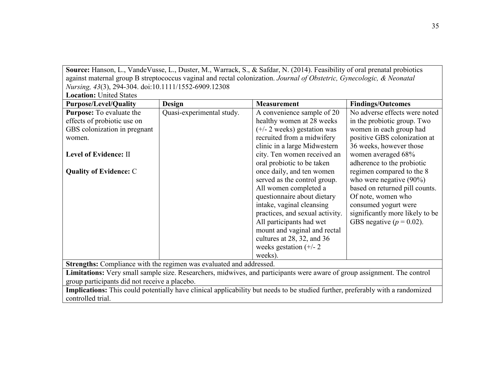**Source:** Hanson, L., VandeVusse, L., Duster, M., Warrack, S., & Safdar, N. (2014). Feasibility of oral prenatal probiotics against maternal group B streptococcus vaginal and rectal colonization. *Journal of Obstetric, Gynecologic, & Neonatal Nursing, 43*(3), 294-304. doi:10.1111/1552-6909.12308

**Location:** United States

| <b>Purpose/Level/Quality</b>                                        | <b>Design</b>             | <b>Measurement</b>                                                                                                             | <b>Findings/Outcomes</b>        |  |
|---------------------------------------------------------------------|---------------------------|--------------------------------------------------------------------------------------------------------------------------------|---------------------------------|--|
| <b>Purpose:</b> To evaluate the                                     | Quasi-experimental study. | A convenience sample of 20                                                                                                     | No adverse effects were noted   |  |
| effects of probiotic use on                                         |                           | healthy women at 28 weeks                                                                                                      | in the probiotic group. Two     |  |
| GBS colonization in pregnant                                        |                           | $(+/- 2$ weeks) gestation was                                                                                                  | women in each group had         |  |
| women.                                                              |                           | recruited from a midwifery                                                                                                     | positive GBS colonization at    |  |
|                                                                     |                           | clinic in a large Midwestern                                                                                                   | 36 weeks, however those         |  |
| Level of Evidence: II                                               |                           | city. Ten women received an                                                                                                    | women averaged 68%              |  |
|                                                                     |                           | oral probiotic to be taken                                                                                                     | adherence to the probiotic      |  |
| <b>Quality of Evidence: C</b>                                       |                           | once daily, and ten women                                                                                                      | regimen compared to the 8       |  |
|                                                                     |                           | served as the control group.                                                                                                   | who were negative $(90\%)$      |  |
|                                                                     |                           | All women completed a                                                                                                          | based on returned pill counts.  |  |
|                                                                     |                           | questionnaire about dietary                                                                                                    | Of note, women who              |  |
|                                                                     |                           | intake, vaginal cleansing                                                                                                      | consumed yogurt were            |  |
|                                                                     |                           | practices, and sexual activity.                                                                                                | significantly more likely to be |  |
|                                                                     |                           | All participants had wet                                                                                                       | GBS negative ( $p = 0.02$ ).    |  |
|                                                                     |                           | mount and vaginal and rectal                                                                                                   |                                 |  |
|                                                                     |                           | cultures at 28, 32, and 36                                                                                                     |                                 |  |
|                                                                     |                           | weeks gestation $(+/- 2)$                                                                                                      |                                 |  |
|                                                                     |                           | weeks).                                                                                                                        |                                 |  |
| Strengths: Compliance with the regimen was evaluated and addressed. |                           |                                                                                                                                |                                 |  |
|                                                                     |                           | Limitations: Very small sample size. Researchers, midwives, and participants were aware of group assignment. The control       |                                 |  |
| group participants did not receive a placebo.                       |                           |                                                                                                                                |                                 |  |
|                                                                     |                           | Implications: This could potentially have clinical applicability but needs to be studied further, preferably with a randomized |                                 |  |
| controlled trial.                                                   |                           |                                                                                                                                |                                 |  |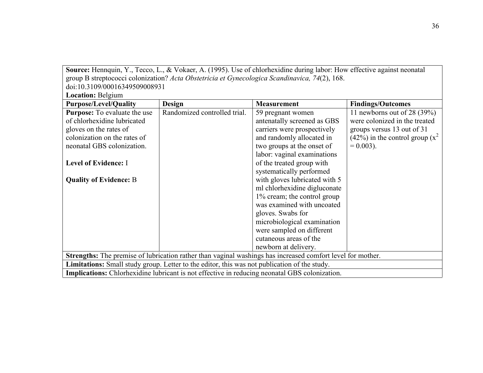**Source:** Hennquin, Y., Tecco, L., & Vokaer, A. (1995). Use of chlorhexidine during labor: How effective against neonatal group B streptococci colonization? *Acta Obstetricia et Gynecologica Scandinavica, 74*(2), 168. doi:10.3109/00016349509008931

**Location:** Belgium

| <b>Purpose/Level/Quality</b>        | <b>Design</b>                                                                                        | <b>Measurement</b>                                                                                         | <b>Findings/Outcomes</b>              |
|-------------------------------------|------------------------------------------------------------------------------------------------------|------------------------------------------------------------------------------------------------------------|---------------------------------------|
| <b>Purpose:</b> To evaluate the use | Randomized controlled trial.                                                                         | 59 pregnant women                                                                                          | 11 newborns out of $28(39%)$          |
| of chlorhexidine lubricated         |                                                                                                      | antenatally screened as GBS                                                                                | were colonized in the treated         |
| gloves on the rates of              |                                                                                                      | carriers were prospectively                                                                                | groups versus 13 out of 31            |
| colonization on the rates of        |                                                                                                      | and randomly allocated in                                                                                  | $(42\%)$ in the control group $(x^2)$ |
| neonatal GBS colonization.          |                                                                                                      | two groups at the onset of                                                                                 | $= 0.003$ ).                          |
|                                     |                                                                                                      | labor: vaginal examinations                                                                                |                                       |
| <b>Level of Evidence: I</b>         |                                                                                                      | of the treated group with                                                                                  |                                       |
|                                     |                                                                                                      | systematically performed                                                                                   |                                       |
| <b>Quality of Evidence: B</b>       |                                                                                                      | with gloves lubricated with 5                                                                              |                                       |
|                                     |                                                                                                      | ml chlorhexidine digluconate                                                                               |                                       |
|                                     |                                                                                                      | 1% cream; the control group                                                                                |                                       |
|                                     |                                                                                                      | was examined with uncoated                                                                                 |                                       |
|                                     |                                                                                                      | gloves. Swabs for                                                                                          |                                       |
|                                     |                                                                                                      | microbiological examination                                                                                |                                       |
|                                     |                                                                                                      | were sampled on different                                                                                  |                                       |
|                                     |                                                                                                      | cutaneous areas of the                                                                                     |                                       |
|                                     |                                                                                                      | newborn at delivery.                                                                                       |                                       |
|                                     |                                                                                                      | Strengths: The premise of lubrication rather than vaginal washings has increased comfort level for mother. |                                       |
|                                     | <b>Limitations:</b> Small study group. Letter to the editor, this was not publication of the study.  |                                                                                                            |                                       |
|                                     | <b>Implications:</b> Chlorhexidine lubricant is not effective in reducing neonatal GBS colonization. |                                                                                                            |                                       |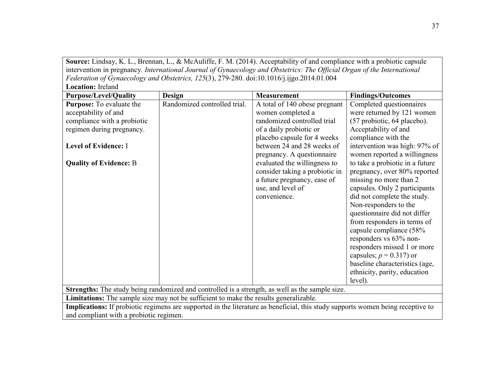**Source:** Lindsay, K. L., Brennan, L., & McAuliffe, F. M. (2014). Acceptability of and compliance with a probiotic capsule intervention in pregnancy*. International Journal of Gynaecology and Obstetrics: The Official Organ of the International Federation of Gynaecology and Obstetrics, 125*(3), 279-280. doi:10.1016/j.ijgo.2014.01.004 **Location:** Ireland

| <b>Purpose/Level/Quality</b>            | Design                                                                                | <b>Measurement</b>                                                                                                              | <b>Findings/Outcomes</b>        |
|-----------------------------------------|---------------------------------------------------------------------------------------|---------------------------------------------------------------------------------------------------------------------------------|---------------------------------|
| <b>Purpose:</b> To evaluate the         | Randomized controlled trial.                                                          | A total of 140 obese pregnant                                                                                                   | Completed questionnaires        |
| acceptability of and                    |                                                                                       | women completed a                                                                                                               | were returned by 121 women      |
| compliance with a probiotic             |                                                                                       | randomized controlled trial                                                                                                     | (57 probiotic, 64 placebo).     |
| regimen during pregnancy.               |                                                                                       | of a daily probiotic or                                                                                                         | Acceptability of and            |
|                                         |                                                                                       | placebo capsule for 4 weeks                                                                                                     | compliance with the             |
| Level of Evidence: I                    |                                                                                       | between 24 and 28 weeks of                                                                                                      | intervention was high: 97% of   |
|                                         |                                                                                       | pregnancy. A questionnaire                                                                                                      | women reported a willingness    |
| <b>Quality of Evidence: B</b>           |                                                                                       | evaluated the willingness to                                                                                                    | to take a probiotic in a future |
|                                         |                                                                                       | consider taking a probiotic in                                                                                                  | pregnancy, over 80% reported    |
|                                         |                                                                                       | a future pregnancy, ease of                                                                                                     | missing no more than 2          |
|                                         |                                                                                       | use, and level of                                                                                                               | capsules. Only 2 participants   |
|                                         |                                                                                       | convenience.                                                                                                                    | did not complete the study.     |
|                                         |                                                                                       |                                                                                                                                 | Non-responders to the           |
|                                         |                                                                                       |                                                                                                                                 | questionnaire did not differ    |
|                                         |                                                                                       |                                                                                                                                 | from responders in terms of     |
|                                         |                                                                                       |                                                                                                                                 | capsule compliance (58%         |
|                                         |                                                                                       |                                                                                                                                 | responders vs 63% non-          |
|                                         |                                                                                       |                                                                                                                                 | responders missed 1 or more     |
|                                         |                                                                                       |                                                                                                                                 | capsules; $p = 0.317$ ) or      |
|                                         |                                                                                       |                                                                                                                                 | baseline characteristics (age,  |
|                                         |                                                                                       |                                                                                                                                 | ethnicity, parity, education    |
|                                         |                                                                                       |                                                                                                                                 | level).                         |
|                                         |                                                                                       | Strengths: The study being randomized and controlled is a strength, as well as the sample size.                                 |                                 |
|                                         | Limitations: The sample size may not be sufficient to make the results generalizable. |                                                                                                                                 |                                 |
|                                         |                                                                                       | Implications: If probiotic regimens are supported in the literature as beneficial, this study supports women being receptive to |                                 |
| and compliant with a probiotic regimen. |                                                                                       |                                                                                                                                 |                                 |

37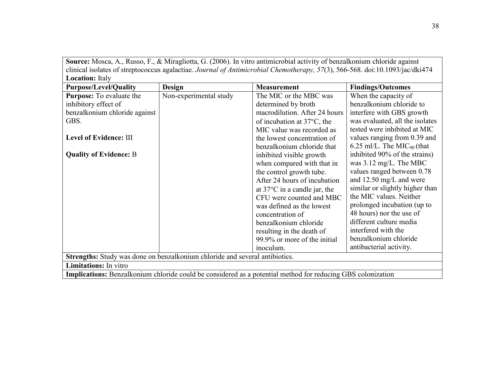**Source:** Mosca, A., Russo, F., & Miragliotta, G. (2006). In vitro antimicrobial activity of benzalkonium chloride against clinical isolates of streptococcus agalactiae. *Journal of Antimicrobial Chemotherapy, 57*(3), 566-568. doi:10.1093/jac/dki474 **Location:** Italy

| посистом. так<br><b>Purpose/Level/Quality</b>                               | <b>Design</b>                                                                                               | <b>Measurement</b>                     | <b>Findings/Outcomes</b>               |  |  |
|-----------------------------------------------------------------------------|-------------------------------------------------------------------------------------------------------------|----------------------------------------|----------------------------------------|--|--|
|                                                                             |                                                                                                             |                                        |                                        |  |  |
| <b>Purpose:</b> To evaluate the                                             | Non-experimental study                                                                                      | The MIC or the MBC was                 | When the capacity of                   |  |  |
| inhibitory effect of                                                        |                                                                                                             | determined by broth                    | benzalkonium chloride to               |  |  |
| benzalkonium chloride against                                               |                                                                                                             | macrodilution. After 24 hours          | interfere with GBS growth              |  |  |
| GBS.                                                                        |                                                                                                             | of incubation at $37^{\circ}$ C, the   | was evaluated, all the isolates        |  |  |
|                                                                             |                                                                                                             | MIC value was recorded as              | tested were inhibited at MIC           |  |  |
| Level of Evidence: III                                                      |                                                                                                             | the lowest concentration of            | values ranging from 0.39 and           |  |  |
|                                                                             |                                                                                                             | benzalkonium chloride that             | 6.25 ml/L. The MIC <sub>90</sub> (that |  |  |
| <b>Quality of Evidence: B</b>                                               |                                                                                                             | inhibited visible growth               | inhibited 90% of the strains)          |  |  |
|                                                                             |                                                                                                             | when compared with that in             | was $3.12 \text{ mg/L}$ . The MBC      |  |  |
|                                                                             |                                                                                                             | the control growth tube.               | values ranged between 0.78             |  |  |
|                                                                             |                                                                                                             | After 24 hours of incubation           | and $12.50 \text{ mg/L}$ and were      |  |  |
|                                                                             |                                                                                                             | at $37^{\circ}$ C in a candle jar, the | similar or slightly higher than        |  |  |
|                                                                             |                                                                                                             | CFU were counted and MBC               | the MIC values. Neither                |  |  |
|                                                                             |                                                                                                             | was defined as the lowest              | prolonged incubation (up to            |  |  |
|                                                                             |                                                                                                             | concentration of                       | 48 hours) nor the use of               |  |  |
|                                                                             |                                                                                                             | benzalkonium chloride                  | different culture media                |  |  |
|                                                                             |                                                                                                             | resulting in the death of              | interfered with the                    |  |  |
|                                                                             |                                                                                                             | 99.9% or more of the initial           | benzalkonium chloride                  |  |  |
|                                                                             |                                                                                                             | inoculum.                              | antibacterial activity.                |  |  |
| Strengths: Study was done on benzalkonium chloride and several antibiotics. |                                                                                                             |                                        |                                        |  |  |
| <b>Limitations:</b> In vitro                                                |                                                                                                             |                                        |                                        |  |  |
|                                                                             | Implications: Benzalkonium chloride could be considered as a potential method for reducing GBS colonization |                                        |                                        |  |  |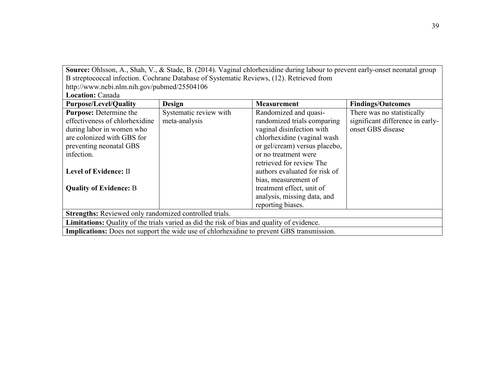Source: Ohlsson, A., Shah, V., & Stade, B. (2014). Vaginal chlorhexidine during labour to prevent early-onset neonatal group B streptococcal infection. Cochrane Database of Systematic Reviews, (12). Retrieved from

http://www.ncbi.nlm.nih.gov/pubmed/25504106

**Location:** Canada

| <b>Purpose/Level/Quality</b>                                                                      | Design                                                                                           | <b>Measurement</b>            | <b>Findings/Outcomes</b>         |  |  |
|---------------------------------------------------------------------------------------------------|--------------------------------------------------------------------------------------------------|-------------------------------|----------------------------------|--|--|
| <b>Purpose:</b> Determine the                                                                     | Systematic review with                                                                           | Randomized and quasi-         | There was no statistically       |  |  |
| effectiveness of chlorhexidine                                                                    | meta-analysis                                                                                    | randomized trials comparing   | significant difference in early- |  |  |
| during labor in women who                                                                         |                                                                                                  | vaginal disinfection with     | onset GBS disease                |  |  |
| are colonized with GBS for                                                                        |                                                                                                  | chlorhexidine (vaginal wash   |                                  |  |  |
| preventing neonatal GBS                                                                           |                                                                                                  | or gel/cream) versus placebo, |                                  |  |  |
| infection.                                                                                        |                                                                                                  | or no treatment were          |                                  |  |  |
|                                                                                                   |                                                                                                  | retrieved for review The      |                                  |  |  |
| Level of Evidence: II                                                                             |                                                                                                  | authors evaluated for risk of |                                  |  |  |
|                                                                                                   |                                                                                                  | bias, measurement of          |                                  |  |  |
| <b>Quality of Evidence: B</b>                                                                     |                                                                                                  | treatment effect, unit of     |                                  |  |  |
|                                                                                                   |                                                                                                  | analysis, missing data, and   |                                  |  |  |
|                                                                                                   |                                                                                                  | reporting biases.             |                                  |  |  |
| <b>Strengths:</b> Reviewed only randomized controlled trials.                                     |                                                                                                  |                               |                                  |  |  |
| <b>Limitations:</b> Quality of the trials varied as did the risk of bias and quality of evidence. |                                                                                                  |                               |                                  |  |  |
|                                                                                                   | <b>Implications:</b> Does not support the wide use of chlorhexidine to prevent GBS transmission. |                               |                                  |  |  |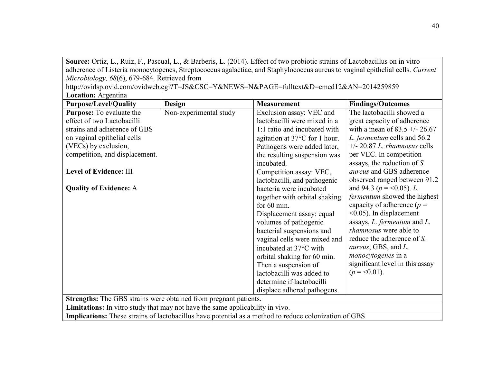**Source:** Ortiz, L., Ruiz, F., Pascual, L., & Barberis, L. (2014). Effect of two probiotic strains of Lactobacillus on in vitro adherence of Listeria monocytogenes, Streptococcus agalactiae, and Staphylococcus aureus to vaginal epithelial cells. *Current Microbiology, 68*(6), 679-684. Retrieved from

http://ovidsp.ovid.com/ovidweb.cgi?T=JS&CSC=Y&NEWS=N&PAGE=fulltext&D=emed12&AN=2014259859 **Location:** Argentina

| <b>Purpose/Level/Quality</b>                                                                                  | Design                 | <b>Measurement</b>                      | <b>Findings/Outcomes</b>            |
|---------------------------------------------------------------------------------------------------------------|------------------------|-----------------------------------------|-------------------------------------|
| <b>Purpose:</b> To evaluate the                                                                               | Non-experimental study | Exclusion assay: VEC and                | The lactobacilli showed a           |
| effect of two Lactobacilli                                                                                    |                        | lactobacilli were mixed in a            | great capacity of adherence         |
| strains and adherence of GBS                                                                                  |                        | 1:1 ratio and incubated with            | with a mean of $83.5 +/- 26.67$     |
| on vaginal epithelial cells                                                                                   |                        | agitation at $37^{\circ}$ C for 1 hour. | L. fermentum cells and 56.2         |
| (VECs) by exclusion,                                                                                          |                        | Pathogens were added later,             | $+/- 20.87 L.$ rhamnosus cells      |
| competition, and displacement.                                                                                |                        | the resulting suspension was            | per VEC. In competition             |
|                                                                                                               |                        | incubated.                              | assays, the reduction of $S$ .      |
| <b>Level of Evidence: III</b>                                                                                 |                        | Competition assay: VEC,                 | aureus and GBS adherence            |
|                                                                                                               |                        | lactobacilli, and pathogenic            | observed ranged between 91.2        |
| <b>Quality of Evidence: A</b>                                                                                 |                        | bacteria were incubated                 | and 94.3 ( $p = 0.05$ ). L.         |
|                                                                                                               |                        | together with orbital shaking           | <i>fermentum</i> showed the highest |
|                                                                                                               |                        | for $60 \text{ min}$ .                  | capacity of adherence ( $p =$       |
|                                                                                                               |                        | Displacement assay: equal               | $\leq 0.05$ ). In displacement      |
|                                                                                                               |                        | volumes of pathogenic                   | assays, $L$ . fermentum and $L$ .   |
|                                                                                                               |                        | bacterial suspensions and               | <i>rhamnosus</i> were able to       |
|                                                                                                               |                        | vaginal cells were mixed and            | reduce the adherence of S.          |
|                                                                                                               |                        | incubated at 37°C with                  | <i>aureus</i> , GBS, and L.         |
|                                                                                                               |                        | orbital shaking for 60 min.             | <i>monocytogenes</i> in a           |
|                                                                                                               |                        | Then a suspension of                    | significant level in this assay     |
|                                                                                                               |                        | lactobacilli was added to               | $(p = 0.01)$ .                      |
|                                                                                                               |                        | determine if lactobacilli               |                                     |
|                                                                                                               |                        | displace adhered pathogens.             |                                     |
| <b>Strengths:</b> The GBS strains were obtained from pregnant patients.                                       |                        |                                         |                                     |
| <b>Limitations:</b> In vitro study that may not have the same applicability in vivo.                          |                        |                                         |                                     |
| <b>Implications:</b> These strains of lactobacillus have potential as a method to reduce colonization of GBS. |                        |                                         |                                     |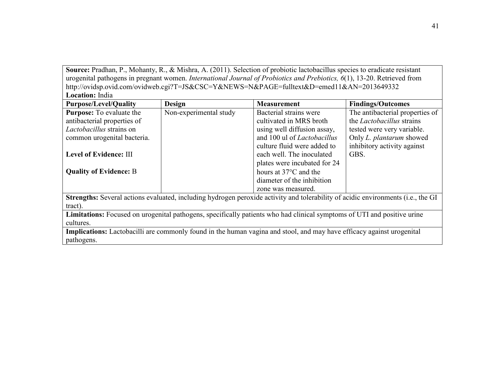Source: Pradhan, P., Mohanty, R., & Mishra, A. (2011). Selection of probiotic lactobacillus species to eradicate resistant urogenital pathogens in pregnant women. *International Journal of Probiotics and Prebiotics, 6*(1), 13-20. Retrieved from http://ovidsp.ovid.com/ovidweb.cgi?T=JS&CSC=Y&NEWS=N&PAGE=fulltext&D=emed11&AN=2013649332 **Location:** India

| Lucauvii. muid                                                                                                          |                        |                                                                                                                       |                                                                                                                                  |
|-------------------------------------------------------------------------------------------------------------------------|------------------------|-----------------------------------------------------------------------------------------------------------------------|----------------------------------------------------------------------------------------------------------------------------------|
| <b>Purpose/Level/Quality</b>                                                                                            | <b>Design</b>          | <b>Measurement</b>                                                                                                    | <b>Findings/Outcomes</b>                                                                                                         |
| <b>Purpose:</b> To evaluate the                                                                                         | Non-experimental study | Bacterial strains were                                                                                                | The antibacterial properties of                                                                                                  |
| antibacterial properties of                                                                                             |                        | cultivated in MRS broth                                                                                               | the <i>Lactobacillus</i> strains                                                                                                 |
| Lactobacillus strains on                                                                                                |                        | using well diffusion assay,                                                                                           | tested were very variable.                                                                                                       |
| common urogenital bacteria.                                                                                             |                        | and 100 ul of <i>Lactobacillus</i>                                                                                    | Only L. plantarum showed                                                                                                         |
|                                                                                                                         |                        | culture fluid were added to                                                                                           | inhibitory activity against                                                                                                      |
| Level of Evidence: III                                                                                                  |                        | each well. The inoculated                                                                                             | GBS.                                                                                                                             |
|                                                                                                                         |                        | plates were incubated for 24                                                                                          |                                                                                                                                  |
| <b>Quality of Evidence: B</b>                                                                                           |                        | hours at 37 <sup>o</sup> C and the                                                                                    |                                                                                                                                  |
|                                                                                                                         |                        | diameter of the inhibition                                                                                            |                                                                                                                                  |
|                                                                                                                         |                        | zone was measured.                                                                                                    |                                                                                                                                  |
|                                                                                                                         |                        |                                                                                                                       | Strengths: Several actions evaluated, including hydrogen peroxide activity and tolerability of acidic environments (i.e., the GI |
| tract).                                                                                                                 |                        |                                                                                                                       |                                                                                                                                  |
| Limitations: Focused on urogenital pathogens, specifically patients who had clinical symptoms of UTI and positive urine |                        |                                                                                                                       |                                                                                                                                  |
| cultures.                                                                                                               |                        |                                                                                                                       |                                                                                                                                  |
|                                                                                                                         |                        | Implications: Lactobacilli are commonly found in the human vagina and stool, and may have efficacy against urogenital |                                                                                                                                  |
| pathogens.                                                                                                              |                        |                                                                                                                       |                                                                                                                                  |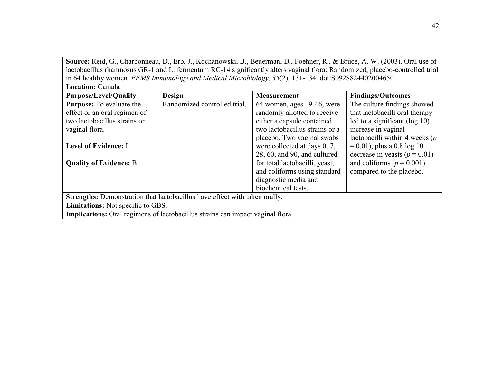**Source:** Reid, G., Charbonneau, D., Erb, J., Kochanowski, B., Beuerman, D., Poehner, R., & Bruce, A. W. (2003). Oral use of lactobacillus rhamnosus GR-1 and L. fermentum RC-14 significantly alters vaginal flora: Randomized, placebo-controlled trial in 64 healthy women. *FEMS Immunology and Medical Microbiology, 35*(2), 131-134. doi:S0928824402004650 **Location:** Canada

| росипон. Сапада                                                                       |                              |                                 |                                   |  |
|---------------------------------------------------------------------------------------|------------------------------|---------------------------------|-----------------------------------|--|
| <b>Purpose/Level/Quality</b>                                                          | <b>Design</b>                | <b>Measurement</b>              | <b>Findings/Outcomes</b>          |  |
| <b>Purpose:</b> To evaluate the                                                       | Randomized controlled trial. | 64 women, ages 19-46, were      | The culture findings showed       |  |
| effect or an oral regimen of                                                          |                              | randomly allotted to receive    | that lactobacilli oral therapy    |  |
| two lactobacillus strains on                                                          |                              | either a capsule contained      | led to a significant ( $log 10$ ) |  |
| vaginal flora.                                                                        |                              | two lactobacillus strains or a  | increase in vaginal               |  |
|                                                                                       |                              | placebo. Two vaginal swabs      | lactobacilli within 4 weeks $(p)$ |  |
| <b>Level of Evidence: I</b>                                                           |                              | were collected at days $0, 7$ , | $= 0.01$ , plus a 0.8 log 10      |  |
|                                                                                       |                              | 28, 60, and 90, and cultured    | decrease in yeasts ( $p = 0.01$ ) |  |
| <b>Quality of Evidence: B</b>                                                         |                              | for total lactobacilli, yeast,  | and coliforms ( $p = 0.001$ )     |  |
|                                                                                       |                              | and coliforms using standard    | compared to the placebo.          |  |
|                                                                                       |                              | diagnostic media and            |                                   |  |
|                                                                                       |                              | biochemical tests.              |                                   |  |
| Strengths: Demonstration that lactobacillus have effect with taken orally.            |                              |                                 |                                   |  |
| <b>Limitations:</b> Not specific to GBS.                                              |                              |                                 |                                   |  |
| <b>Implications:</b> Oral regimens of lactobacillus strains can impact vaginal flora. |                              |                                 |                                   |  |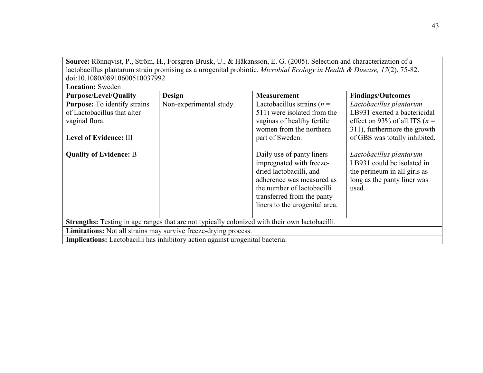| Source: Rönnqvist, P., Ström, H., Forsgren-Brusk, U., & Håkansson, E. G. (2005). Selection and characterization of a                                                                                                                                                                                                                                                          |                                                                 |                                                                                                                          |                                  |  |
|-------------------------------------------------------------------------------------------------------------------------------------------------------------------------------------------------------------------------------------------------------------------------------------------------------------------------------------------------------------------------------|-----------------------------------------------------------------|--------------------------------------------------------------------------------------------------------------------------|----------------------------------|--|
|                                                                                                                                                                                                                                                                                                                                                                               |                                                                 | lactobacillus plantarum strain promising as a urogenital probiotic. Microbial Ecology in Health & Disease, 17(2), 75-82. |                                  |  |
| doi:10.1080/08910600510037992                                                                                                                                                                                                                                                                                                                                                 |                                                                 |                                                                                                                          |                                  |  |
| <b>Location: Sweden</b>                                                                                                                                                                                                                                                                                                                                                       |                                                                 |                                                                                                                          |                                  |  |
| <b>Purpose/Level/Quality</b>                                                                                                                                                                                                                                                                                                                                                  | <b>Design</b>                                                   | <b>Measurement</b>                                                                                                       | <b>Findings/Outcomes</b>         |  |
| <b>Purpose:</b> To identify strains                                                                                                                                                                                                                                                                                                                                           | Non-experimental study.                                         | Lactobacillus strains ( $n =$                                                                                            | Lactobacillus plantarum          |  |
| of Lactobacillus that alter                                                                                                                                                                                                                                                                                                                                                   |                                                                 | 511) were isolated from the                                                                                              | LB931 exerted a bactericidal     |  |
| vaginal flora.                                                                                                                                                                                                                                                                                                                                                                |                                                                 | vaginas of healthy fertile                                                                                               | effect on 93% of all ITS ( $n =$ |  |
|                                                                                                                                                                                                                                                                                                                                                                               |                                                                 | women from the northern                                                                                                  | 311), furthermore the growth     |  |
| <b>Level of Evidence: III</b>                                                                                                                                                                                                                                                                                                                                                 |                                                                 | part of Sweden.                                                                                                          | of GBS was totally inhibited.    |  |
| <b>Quality of Evidence: B</b><br>Daily use of panty liners<br>Lactobacillus plantarum<br>LB931 could be isolated in<br>impregnated with freeze-<br>dried lactobacilli, and<br>the perineum in all girls as<br>adherence was measured as<br>long as the panty liner was<br>the number of lactobacilli<br>used.<br>transferred from the panty<br>liners to the urogenital area. |                                                                 |                                                                                                                          |                                  |  |
| Strengths: Testing in age ranges that are not typically colonized with their own lactobacilli.                                                                                                                                                                                                                                                                                |                                                                 |                                                                                                                          |                                  |  |
|                                                                                                                                                                                                                                                                                                                                                                               | Limitations: Not all strains may survive freeze-drying process. |                                                                                                                          |                                  |  |
| <b>Implications:</b> Lactobacilli has inhibitory action against urogenital bacteria.                                                                                                                                                                                                                                                                                          |                                                                 |                                                                                                                          |                                  |  |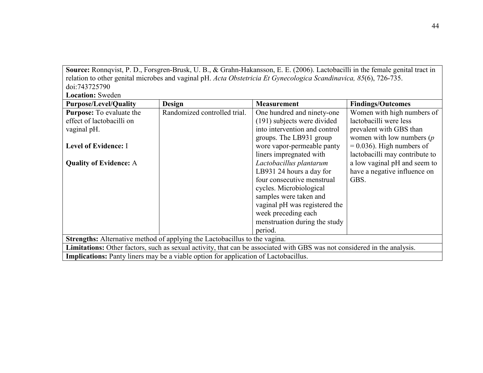**Source:** Ronnqvist, P. D., Forsgren-Brusk, U. B., & Grahn-Hakansson, E. E. (2006). Lactobacilli in the female genital tract in relation to other genital microbes and vaginal pH. *Acta Obstetricia Et Gynecologica Scandinavica, 85*(6), 726-735. doi:743725790

**Location:** Sweden

| <b>Purpose/Level/Quality</b>    | <b>Design</b>                                                                              | <b>Measurement</b>                                                                                                       | <b>Findings/Outcomes</b>       |
|---------------------------------|--------------------------------------------------------------------------------------------|--------------------------------------------------------------------------------------------------------------------------|--------------------------------|
| <b>Purpose:</b> To evaluate the | Randomized controlled trial.                                                               | One hundred and ninety-one                                                                                               | Women with high numbers of     |
| effect of lactobacilli on       |                                                                                            | (191) subjects were divided                                                                                              | lactobacilli were less         |
| vaginal pH.                     |                                                                                            | into intervention and control                                                                                            | prevalent with GBS than        |
|                                 |                                                                                            | groups. The LB931 group                                                                                                  | women with low numbers $(p)$   |
| <b>Level of Evidence: I</b>     |                                                                                            | wore vapor-permeable panty                                                                                               | $= 0.036$ ). High numbers of   |
|                                 |                                                                                            | liners impregnated with                                                                                                  | lactobacilli may contribute to |
| <b>Quality of Evidence: A</b>   |                                                                                            | Lactobacillus plantarum                                                                                                  | a low vaginal pH and seem to   |
|                                 |                                                                                            | LB931 24 hours a day for                                                                                                 | have a negative influence on   |
|                                 |                                                                                            | four consecutive menstrual                                                                                               | GBS.                           |
|                                 |                                                                                            | cycles. Microbiological                                                                                                  |                                |
|                                 |                                                                                            | samples were taken and                                                                                                   |                                |
|                                 |                                                                                            | vaginal pH was registered the                                                                                            |                                |
|                                 |                                                                                            | week preceding each                                                                                                      |                                |
|                                 |                                                                                            | menstruation during the study                                                                                            |                                |
|                                 |                                                                                            | period.                                                                                                                  |                                |
|                                 | <b>Strengths:</b> Alternative method of applying the Lactobacillus to the vagina.          |                                                                                                                          |                                |
|                                 |                                                                                            | Limitations: Other factors, such as sexual activity, that can be associated with GBS was not considered in the analysis. |                                |
|                                 | <b>Implications:</b> Panty liners may be a viable option for application of Lactobacillus. |                                                                                                                          |                                |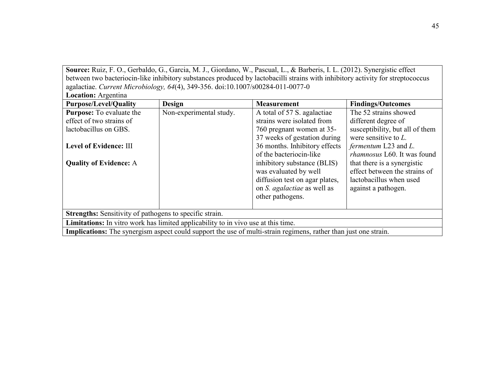**Source:** Ruiz, F. O., Gerbaldo, G., Garcia, M. J., Giordano, W., Pascual, L., & Barberis, I. L. (2012). Synergistic effect between two bacteriocin-like inhibitory substances produced by lactobacilli strains with inhibitory activity for streptococcus agalactiae. *Current Microbiology, 64*(4), 349-356. doi:10.1007/s00284-011-0077-0 **Location:** Argentina

| LUCALIUII, AI gUILIIIA                                                            |                         |                                                                                                                        |                                 |  |
|-----------------------------------------------------------------------------------|-------------------------|------------------------------------------------------------------------------------------------------------------------|---------------------------------|--|
| <b>Purpose/Level/Quality</b>                                                      | <b>Design</b>           | <b>Measurement</b>                                                                                                     | <b>Findings/Outcomes</b>        |  |
| <b>Purpose:</b> To evaluate the                                                   | Non-experimental study. | A total of 57 S. agalactiae                                                                                            | The 52 strains showed           |  |
| effect of two strains of                                                          |                         | strains were isolated from                                                                                             | different degree of             |  |
| lactobacillus on GBS.                                                             |                         | 760 pregnant women at 35-                                                                                              | susceptibility, but all of them |  |
|                                                                                   |                         | 37 weeks of gestation during                                                                                           | were sensitive to $L$ .         |  |
| Level of Evidence: III                                                            |                         | 36 months. Inhibitory effects                                                                                          | fermentum L23 and L.            |  |
|                                                                                   |                         | of the bacteriocin-like                                                                                                | rhamnosus L60. It was found     |  |
| <b>Quality of Evidence: A</b>                                                     |                         | inhibitory substance (BLIS)                                                                                            | that there is a synergistic     |  |
|                                                                                   |                         | was evaluated by well                                                                                                  | effect between the strains of   |  |
|                                                                                   |                         | diffusion test on agar plates,                                                                                         | lactobacillus when used         |  |
|                                                                                   |                         | on <i>S. agalactiae</i> as well as                                                                                     | against a pathogen.             |  |
|                                                                                   |                         | other pathogens.                                                                                                       |                                 |  |
|                                                                                   |                         |                                                                                                                        |                                 |  |
| <b>Strengths:</b> Sensitivity of pathogens to specific strain.                    |                         |                                                                                                                        |                                 |  |
| Limitations: In vitro work has limited applicability to in vivo use at this time. |                         |                                                                                                                        |                                 |  |
|                                                                                   |                         | <b>Implications:</b> The synergism aspect could support the use of multi-strain regimens, rather than just one strain. |                                 |  |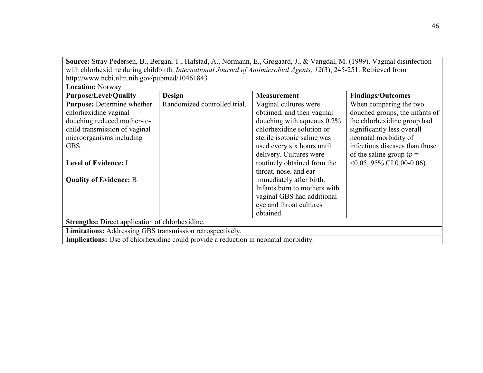**Source:** Stray-Pedersen, B., Bergan, T., Hafstad, A., Normann, E., Grøgaard, J., & Vangdal, M. (1999). Vaginal disinfection with chlorhexidine during childbirth. *International Journal of Antimicrobial Agents, 12*(3), 245-251. Retrieved from http://www.ncbi.nlm.nih.gov/pubmed/10461843

| <b>Location: Norway</b>                                                                    |                              |                               |                                  |  |
|--------------------------------------------------------------------------------------------|------------------------------|-------------------------------|----------------------------------|--|
| <b>Purpose/Level/Quality</b>                                                               | <b>Design</b>                | <b>Measurement</b>            | <b>Findings/Outcomes</b>         |  |
| <b>Purpose:</b> Determine whether                                                          | Randomized controlled trial. | Vaginal cultures were         | When comparing the two           |  |
| chlorhexidine vaginal                                                                      |                              | obtained, and then vaginal    | douched groups, the infants of   |  |
| douching reduced mother-to-                                                                |                              | douching with aqueous $0.2\%$ | the chlorhexidine group had      |  |
| child transmission of vaginal                                                              |                              | chlorhexidine solution or     | significantly less overall       |  |
| microorganisms including                                                                   |                              | sterile isotonic saline was   | neonatal morbidity of            |  |
| GBS.                                                                                       |                              | used every six hours until    | infectious diseases than those   |  |
|                                                                                            |                              | delivery. Cultures were       | of the saline group ( $p =$      |  |
| <b>Level of Evidence: I</b>                                                                |                              | routinely obtained from the   | $\leq 0.05$ , 95% CI 0.00-0.06). |  |
|                                                                                            |                              | throat, nose, and ear         |                                  |  |
| <b>Quality of Evidence: B</b>                                                              |                              | immediately after birth.      |                                  |  |
|                                                                                            |                              | Infants born to mothers with  |                                  |  |
|                                                                                            |                              | vaginal GBS had additional    |                                  |  |
|                                                                                            |                              | eye and throat cultures       |                                  |  |
|                                                                                            |                              | obtained.                     |                                  |  |
| <b>Strengths:</b> Direct application of chlorhexidine.                                     |                              |                               |                                  |  |
| <b>Limitations:</b> Addressing GBS transmission retrospectively.                           |                              |                               |                                  |  |
| <b>Implications:</b> Use of chlorhexidine could provide a reduction in neonatal morbidity. |                              |                               |                                  |  |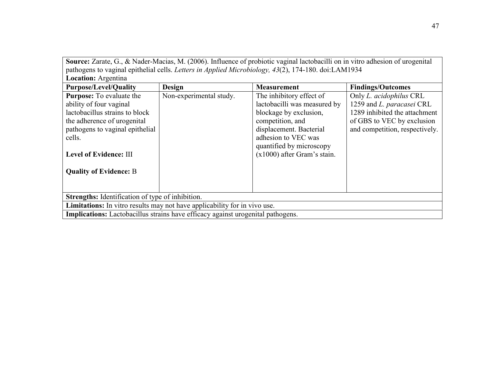**Source:** Zarate, G., & Nader-Macias, M. (2006). Influence of probiotic vaginal lactobacilli on in vitro adhesion of urogenital pathogens to vaginal epithelial cells. *Letters in Applied Microbiology, 43*(2), 174-180. doi:LAM1934

| <b>Location:</b> Argentina                                                                                                                                                                         |                         |                                                                                                                                                                                                                       |                                                                                                                                                       |  |
|----------------------------------------------------------------------------------------------------------------------------------------------------------------------------------------------------|-------------------------|-----------------------------------------------------------------------------------------------------------------------------------------------------------------------------------------------------------------------|-------------------------------------------------------------------------------------------------------------------------------------------------------|--|
| <b>Purpose/Level/Quality</b>                                                                                                                                                                       | <b>Design</b>           | <b>Measurement</b>                                                                                                                                                                                                    | <b>Findings/Outcomes</b>                                                                                                                              |  |
| <b>Purpose:</b> To evaluate the<br>ability of four vaginal<br>lactobacillus strains to block<br>the adherence of urogenital<br>pathogens to vaginal epithelial<br>cells.<br>Level of Evidence: III | Non-experimental study. | The inhibitory effect of<br>lactobacilli was measured by<br>blockage by exclusion,<br>competition, and<br>displacement. Bacterial<br>adhesion to VEC was<br>quantified by microscopy<br>$(x1000)$ after Gram's stain. | Only L. acidophilus CRL<br>1259 and L. paracasei CRL<br>1289 inhibited the attachment<br>of GBS to VEC by exclusion<br>and competition, respectively. |  |
| <b>Quality of Evidence: B</b>                                                                                                                                                                      |                         |                                                                                                                                                                                                                       |                                                                                                                                                       |  |
| Strengths: Identification of type of inhibition.                                                                                                                                                   |                         |                                                                                                                                                                                                                       |                                                                                                                                                       |  |
| <b>Limitations:</b> In vitro results may not have applicability for in vivo use.                                                                                                                   |                         |                                                                                                                                                                                                                       |                                                                                                                                                       |  |
| <b>Implications:</b> Lactobacillus strains have efficacy against urogenital pathogens.                                                                                                             |                         |                                                                                                                                                                                                                       |                                                                                                                                                       |  |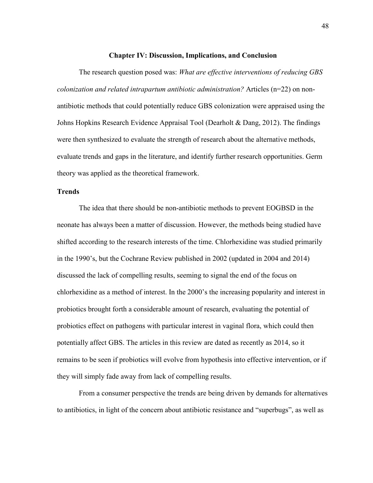#### **Chapter IV: Discussion, Implications, and Conclusion**

The research question posed was: *What are effective interventions of reducing GBS colonization and related intrapartum antibiotic administration?* Articles (n=22) on nonantibiotic methods that could potentially reduce GBS colonization were appraised using the Johns Hopkins Research Evidence Appraisal Tool (Dearholt  $\&$  Dang, 2012). The findings were then synthesized to evaluate the strength of research about the alternative methods, evaluate trends and gaps in the literature, and identify further research opportunities. Germ theory was applied as the theoretical framework.

#### **Trends**

The idea that there should be non-antibiotic methods to prevent EOGBSD in the neonate has always been a matter of discussion. However, the methods being studied have shifted according to the research interests of the time. Chlorhexidine was studied primarily in the 1990's, but the Cochrane Review published in 2002 (updated in 2004 and 2014) discussed the lack of compelling results, seeming to signal the end of the focus on chlorhexidine as a method of interest. In the 2000's the increasing popularity and interest in probiotics brought forth a considerable amount of research, evaluating the potential of probiotics effect on pathogens with particular interest in vaginal flora, which could then potentially affect GBS. The articles in this review are dated as recently as 2014, so it remains to be seen if probiotics will evolve from hypothesis into effective intervention, or if they will simply fade away from lack of compelling results.

From a consumer perspective the trends are being driven by demands for alternatives to antibiotics, in light of the concern about antibiotic resistance and "superbugs", as well as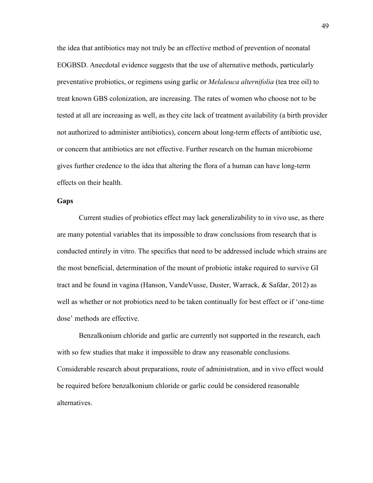the idea that antibiotics may not truly be an effective method of prevention of neonatal EOGBSD. Anecdotal evidence suggests that the use of alternative methods, particularly preventative probiotics, or regimens using garlic or *Melaleuca alternifolia* (tea tree oil) to treat known GBS colonization, are increasing. The rates of women who choose not to be tested at all are increasing as well, as they cite lack of treatment availability (a birth provider not authorized to administer antibiotics), concern about long-term effects of antibiotic use, or concern that antibiotics are not effective. Further research on the human microbiome gives further credence to the idea that altering the flora of a human can have long-term effects on their health.

#### **Gaps**

Current studies of probiotics effect may lack generalizability to in vivo use, as there are many potential variables that its impossible to draw conclusions from research that is conducted entirely in vitro. The specifics that need to be addressed include which strains are the most beneficial, determination of the mount of probiotic intake required to survive GI tract and be found in vagina (Hanson, VandeVusse, Duster, Warrack, & Safdar, 2012) as well as whether or not probiotics need to be taken continually for best effect or if 'one-time dose' methods are effective.

Benzalkonium chloride and garlic are currently not supported in the research, each with so few studies that make it impossible to draw any reasonable conclusions. Considerable research about preparations, route of administration, and in vivo effect would be required before benzalkonium chloride or garlic could be considered reasonable alternatives.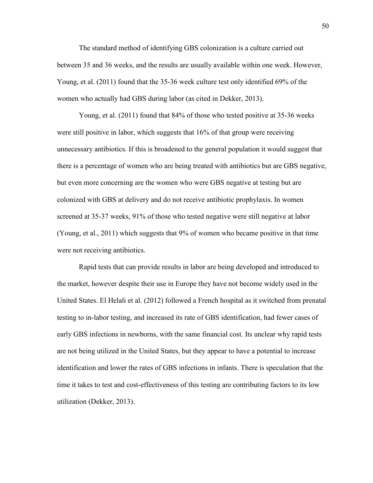The standard method of identifying GBS colonization is a culture carried out between 35 and 36 weeks, and the results are usually available within one week. However, Young, et al. (2011) found that the 35-36 week culture test only identified 69% of the women who actually had GBS during labor (as cited in Dekker, 2013).

Young, et al. (2011) found that 84% of those who tested positive at 35-36 weeks were still positive in labor, which suggests that 16% of that group were receiving unnecessary antibiotics. If this is broadened to the general population it would suggest that there is a percentage of women who are being treated with antibiotics but are GBS negative, but even more concerning are the women who were GBS negative at testing but are colonized with GBS at delivery and do not receive antibiotic prophylaxis. In women screened at 35-37 weeks, 91% of those who tested negative were still negative at labor (Young, et al., 2011) which suggests that 9% of women who became positive in that time were not receiving antibiotics.

Rapid tests that can provide results in labor are being developed and introduced to the market, however despite their use in Europe they have not become widely used in the United States. El Helali et al. (2012) followed a French hospital as it switched from prenatal testing to in-labor testing, and increased its rate of GBS identification, had fewer cases of early GBS infections in newborns, with the same financial cost. Its unclear why rapid tests are not being utilized in the United States, but they appear to have a potential to increase identification and lower the rates of GBS infections in infants. There is speculation that the time it takes to test and cost-effectiveness of this testing are contributing factors to its low utilization (Dekker, 2013).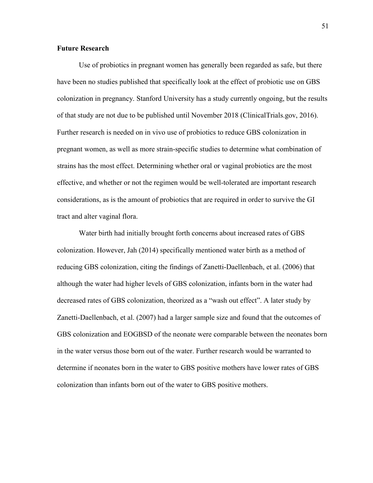#### **Future Research**

Use of probiotics in pregnant women has generally been regarded as safe, but there have been no studies published that specifically look at the effect of probiotic use on GBS colonization in pregnancy. Stanford University has a study currently ongoing, but the results of that study are not due to be published until November 2018 (ClinicalTrials.gov, 2016). Further research is needed on in vivo use of probiotics to reduce GBS colonization in pregnant women, as well as more strain-specific studies to determine what combination of strains has the most effect. Determining whether oral or vaginal probiotics are the most effective, and whether or not the regimen would be well-tolerated are important research considerations, as is the amount of probiotics that are required in order to survive the GI tract and alter vaginal flora.

Water birth had initially brought forth concerns about increased rates of GBS colonization. However, Jah (2014) specifically mentioned water birth as a method of reducing GBS colonization, citing the findings of Zanetti-Daellenbach, et al. (2006) that although the water had higher levels of GBS colonization, infants born in the water had decreased rates of GBS colonization, theorized as a "wash out effect". A later study by Zanetti-Daellenbach, et al. (2007) had a larger sample size and found that the outcomes of GBS colonization and EOGBSD of the neonate were comparable between the neonates born in the water versus those born out of the water. Further research would be warranted to determine if neonates born in the water to GBS positive mothers have lower rates of GBS colonization than infants born out of the water to GBS positive mothers.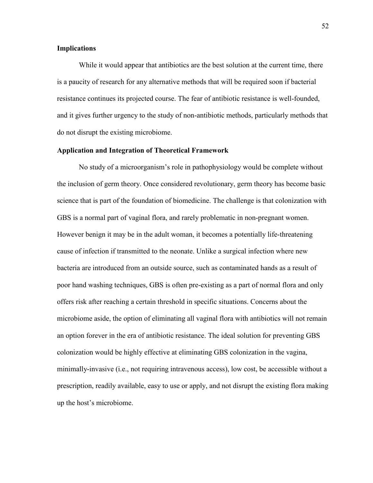#### **Implications**

While it would appear that antibiotics are the best solution at the current time, there is a paucity of research for any alternative methods that will be required soon if bacterial resistance continues its projected course. The fear of antibiotic resistance is well-founded, and it gives further urgency to the study of non-antibiotic methods, particularly methods that do not disrupt the existing microbiome.

#### **Application and Integration of Theoretical Framework**

No study of a microorganism's role in pathophysiology would be complete without the inclusion of germ theory. Once considered revolutionary, germ theory has become basic science that is part of the foundation of biomedicine. The challenge is that colonization with GBS is a normal part of vaginal flora, and rarely problematic in non-pregnant women. However benign it may be in the adult woman, it becomes a potentially life-threatening cause of infection if transmitted to the neonate. Unlike a surgical infection where new bacteria are introduced from an outside source, such as contaminated hands as a result of poor hand washing techniques, GBS is often pre-existing as a part of normal flora and only offers risk after reaching a certain threshold in specific situations. Concerns about the microbiome aside, the option of eliminating all vaginal flora with antibiotics will not remain an option forever in the era of antibiotic resistance. The ideal solution for preventing GBS colonization would be highly effective at eliminating GBS colonization in the vagina, minimally-invasive (i.e., not requiring intravenous access), low cost, be accessible without a prescription, readily available, easy to use or apply, and not disrupt the existing flora making up the host's microbiome.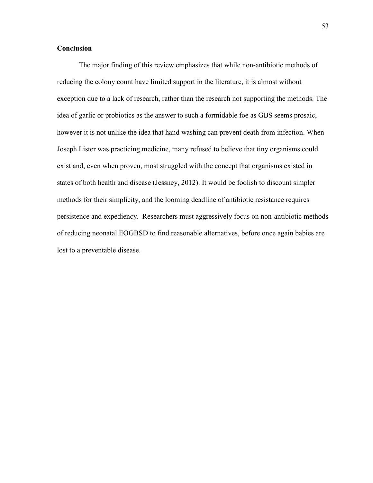#### **Conclusion**

The major finding of this review emphasizes that while non-antibiotic methods of reducing the colony count have limited support in the literature, it is almost without exception due to a lack of research, rather than the research not supporting the methods. The idea of garlic or probiotics as the answer to such a formidable foe as GBS seems prosaic, however it is not unlike the idea that hand washing can prevent death from infection. When Joseph Lister was practicing medicine, many refused to believe that tiny organisms could exist and, even when proven, most struggled with the concept that organisms existed in states of both health and disease (Jessney, 2012). It would be foolish to discount simpler methods for their simplicity, and the looming deadline of antibiotic resistance requires persistence and expediency. Researchers must aggressively focus on non-antibiotic methods of reducing neonatal EOGBSD to find reasonable alternatives, before once again babies are lost to a preventable disease.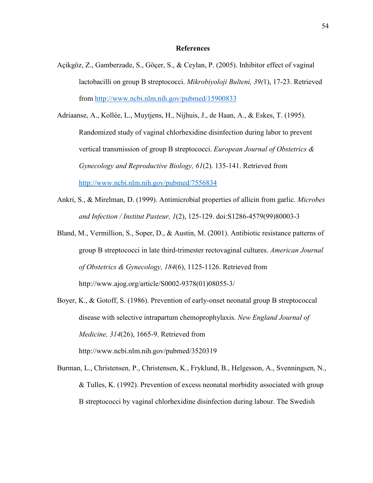#### **References**

- Açikgöz, Z., Gamberzade, S., Göçer, S., & Ceylan, P. (2005). Inhibitor effect of vaginal lactobacilli on group B streptococci. *Mikrobiyoloji Bulteni, 39(*1), 17-23. Retrieved from<http://www.ncbi.nlm.nih.gov/pubmed/15900833>
- Adriaanse, A., Kollée, L., Muytjens, H., Nijhuis, J., de Haan, A., & Eskes, T. (1995). Randomized study of vaginal chlorhexidine disinfection during labor to prevent vertical transmission of group B streptococci. *European Journal of Obstetrics & Gynecology and Reproductive Biology, 61*(2). 135-141. Retrieved from <http://www.ncbi.nlm.nih.gov/pubmed/7556834>
- Ankri, S., & Mirelman, D. (1999). Antimicrobial properties of allicin from garlic. *Microbes and Infection / Institut Pasteur, 1*(2), 125-129. doi:S1286-4579(99)80003-3
- Bland, M., Vermillion, S., Soper, D., & Austin, M. (2001). Antibiotic resistance patterns of group B streptococci in late third-trimester rectovaginal cultures. *American Journal of Obstetrics & Gynecology, 184*(6), 1125-1126. Retrieved from http://www.ajog.org/article/S0002-9378(01)08055-3/
- Boyer, K., & Gotoff, S. (1986). Prevention of early-onset neonatal group B streptococcal disease with selective intrapartum chemoprophylaxis. *New England Journal of Medicine, 314*(26), 1665-9. Retrieved from http://www.ncbi.nlm.nih.gov/pubmed/3520319
- Burman, L., Christensen, P., Christensen, K., Fryklund, B., Helgesson, A., Svenningsen, N., & Tulles, K. (1992). Prevention of excess neonatal morbidity associated with group B streptococci by vaginal chlorhexidine disinfection during labour. The Swedish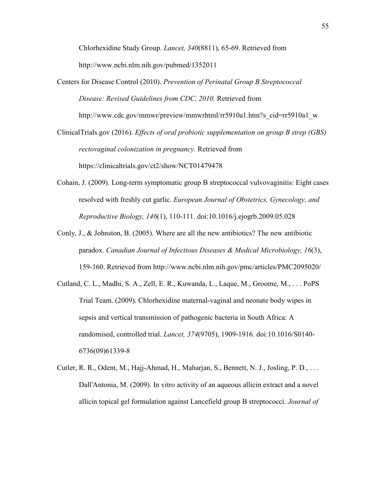Chlorhexidine Study Group. *Lancet, 340*(8811), 65-69. Retrieved from http://www.ncbi.nlm.nih.gov/pubmed/1352011

Centers for Disease Control (2010). *Prevention of Perinatal Group B Streptococcal Disease: Revised Guidelines from CDC, 2010.* Retrieved from http://www.cdc.gov/mmwr/preview/mmwrhtml/rr5910a1.htm?s\_cid=rr5910a1\_w

ClinicalTrials.gov (2016). *Effects of oral probiotic supplementation on group B strep (GBS) rectovaginal colonization in pregnancy.* Retrieved from https://clinicaltrials.gov/ct2/show/NCT01479478

- Cohain, J. (2009). Long-term symptomatic group B streptococcal vulvovaginitis: Eight cases resolved with freshly cut garlic. *European Journal of Obstetrics, Gynecology, and Reproductive Biology, 146*(1), 110-111. doi:10.1016/j.ejogrb.2009.05.028
- Conly, J., & Johnston, B. (2005). Where are all the new antibiotics? The new antibiotic paradox. *Canadian Journal of Infectious Diseases & Medical Microbiology, 16*(3), 159-160. Retrieved from http://www.ncbi.nlm.nih.gov/pmc/articles/PMC2095020/
- Cutland, C. L., Madhi, S. A., Zell, E. R., Kuwanda, L., Laque, M., Groome, M., . . . PoPS Trial Team. (2009). Chlorhexidine maternal-vaginal and neonate body wipes in sepsis and vertical transmission of pathogenic bacteria in South Africa: A randomised, controlled trial. *Lancet, 374*(9705), 1909-1916. doi:10.1016/S0140- 6736(09)61339-8
- Cutler, R. R., Odent, M., Hajj-Ahmad, H., Maharjan, S., Bennett, N. J., Josling, P. D., . . . Dall'Antonia, M. (2009). In vitro activity of an aqueous allicin extract and a novel allicin topical gel formulation against Lancefield group B streptococci. *Journal of*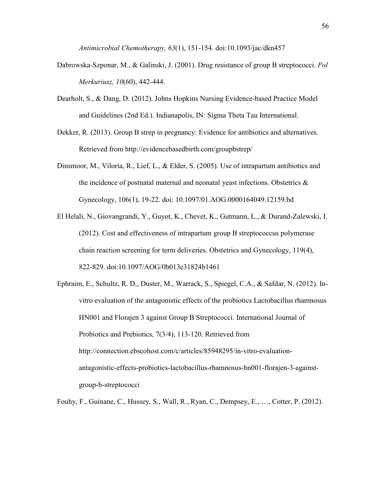*Antimicrobial Chemotherapy, 63*(1), 151-154. doi:10.1093/jac/dkn457

- Dabrowska-Szponar, M., & Galinski, J. (2001). Drug resistance of group B streptococci. *Pol Merkuriusz, 10*(60), 442-444.
- Dearholt, S., & Dang, D. (2012). Johns Hopkins Nursing Evidence-based Practice Model and Guidelines (2nd Ed.). Indianapolis, IN: Sigma Theta Tau International.
- Dekker, R. (2013). Group B strep in pregnancy: Evidence for antibiotics and alternatives. Retrieved from http://evidencebasedbirth.com/groupbstrep/
- Dinsmoor, M., Viloria, R., Lief, L., & Elder, S. (2005). Use of intrapartum antibiotics and the incidence of postnatal maternal and neonatal yeast infections. Obstetrics  $\&$ Gynecology, 106(1), 19-22. doi: 10.1097/01.AOG.0000164049.12159.bd
- El Helali, N., Giovangrandi, Y., Guyot, K., Chevet, K., Gutmann, L., & Durand-Zalewski, I. (2012). Cost and effectiveness of intrapartum group B streptococcus polymerase chain reaction screening for term deliveries. Obstetrics and Gynecology, 119(4), 822-829. doi:10.1097/AOG/0b013e31824b1461
- Ephraim, E., Schultz, R. D., Duster, M., Warrack, S., Spiegel, C.A., & Safdar, N. (2012). Invitro evaluation of the antagonistic effects of the probiotics Lactobacillus rhamnosus HN001 and Florajen 3 against Group B Streptococci. International Journal of Probiotics and Prebiotics, 7(3/4), 113-120. Retrieved from http://connection.ebscohost.com/c/articles/85948295/in-vitro-evaluationantagonistic-effects-probiotics-lactobacillus-rhamnosus-hn001-florajen-3-againstgroup-b-streptococci

Fouhy, F., Guinane, C., Hussey, S., Wall, R., Ryan, C., Dempsey, E., …, Cotter, P. (2012).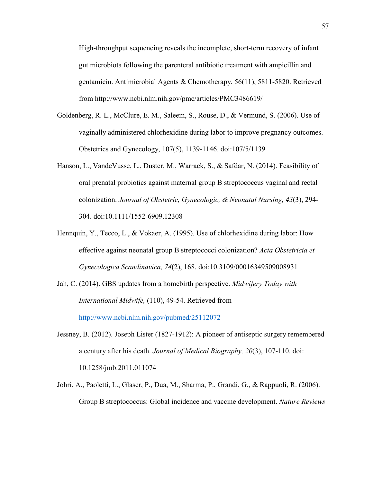High-throughput sequencing reveals the incomplete, short-term recovery of infant gut microbiota following the parenteral antibiotic treatment with ampicillin and gentamicin. Antimicrobial Agents & Chemotherapy, 56(11), 5811-5820. Retrieved from http://www.ncbi.nlm.nih.gov/pmc/articles/PMC3486619/

- Goldenberg, R. L., McClure, E. M., Saleem, S., Rouse, D., & Vermund, S. (2006). Use of vaginally administered chlorhexidine during labor to improve pregnancy outcomes. Obstetrics and Gynecology, 107(5), 1139-1146. doi:107/5/1139
- Hanson, L., VandeVusse, L., Duster, M., Warrack, S., & Safdar, N. (2014). Feasibility of oral prenatal probiotics against maternal group B streptococcus vaginal and rectal colonization. *Journal of Obstetric, Gynecologic, & Neonatal Nursing, 43*(3), 294- 304. doi:10.1111/1552-6909.12308
- Hennquin, Y., Tecco, L., & Vokaer, A. (1995). Use of chlorhexidine during labor: How effective against neonatal group B streptococci colonization? *Acta Obstetricia et Gynecologica Scandinavica, 74*(2), 168. doi:10.3109/00016349509008931
- Jah, C. (2014). GBS updates from a homebirth perspective. *Midwifery Today with International Midwife,* (110), 49-54. Retrieved from <http://www.ncbi.nlm.nih.gov/pubmed/25112072>
- Jessney, B. (2012). Joseph Lister (1827-1912): A pioneer of antiseptic surgery remembered a century after his death. *Journal of Medical Biography, 20*(3), 107-110. doi: 10.1258/jmb.2011.011074
- Johri, A., Paoletti, L., Glaser, P., Dua, M., Sharma, P., Grandi, G., & Rappuoli, R. (2006). Group B streptococcus: Global incidence and vaccine development. *Nature Reviews*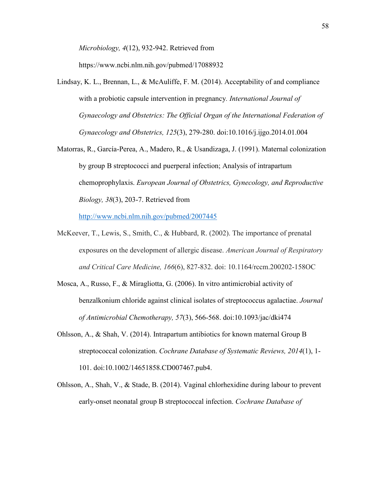*Microbiology, 4*(12), 932-942. Retrieved from

https://www.ncbi.nlm.nih.gov/pubmed/17088932

- Lindsay, K. L., Brennan, L., & McAuliffe, F. M. (2014). Acceptability of and compliance with a probiotic capsule intervention in pregnancy*. International Journal of Gynaecology and Obstetrics: The Official Organ of the International Federation of Gynaecology and Obstetrics, 125*(3), 279-280. doi:10.1016/j.ijgo.2014.01.004
- Matorras, R., García-Perea, A., Madero, R., & Usandizaga, J. (1991). Maternal colonization by group B streptococci and puerperal infection; Analysis of intrapartum chemoprophylaxis. *European Journal of Obstetrics, Gynecology, and Reproductive Biology, 38*(3), 203-7. Retrieved from

<http://www.ncbi.nlm.nih.gov/pubmed/2007445>

- McKeever, T., Lewis, S., Smith, C., & Hubbard, R. (2002). The importance of prenatal exposures on the development of allergic disease. *American Journal of Respiratory and Critical Care Medicine, 166*(6), 827-832. doi: 10.1164/rccm.200202-158OC
- Mosca, A., Russo, F., & Miragliotta, G. (2006). In vitro antimicrobial activity of benzalkonium chloride against clinical isolates of streptococcus agalactiae. *Journal of Antimicrobial Chemotherapy, 57*(3), 566-568. doi:10.1093/jac/dki474
- Ohlsson, A., & Shah, V. (2014). Intrapartum antibiotics for known maternal Group B streptococcal colonization. *Cochrane Database of Systematic Reviews, 2014*(1), 1- 101. doi:10.1002/14651858.CD007467.pub4.
- Ohlsson, A., Shah, V., & Stade, B. (2014). Vaginal chlorhexidine during labour to prevent early-onset neonatal group B streptococcal infection. *Cochrane Database of*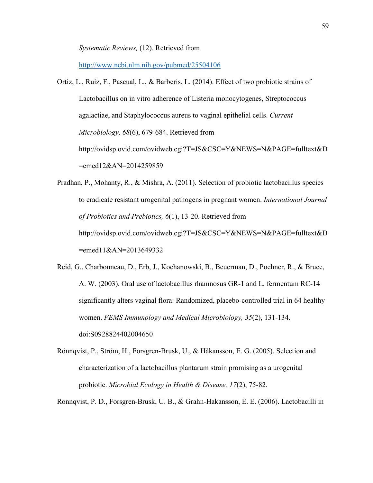*Systematic Reviews,* (12). Retrieved from

<http://www.ncbi.nlm.nih.gov/pubmed/25504106>

- Ortiz, L., Ruiz, F., Pascual, L., & Barberis, L. (2014). Effect of two probiotic strains of Lactobacillus on in vitro adherence of Listeria monocytogenes, Streptococcus agalactiae, and Staphylococcus aureus to vaginal epithelial cells. *Current Microbiology, 68*(6), 679-684. Retrieved from http://ovidsp.ovid.com/ovidweb.cgi?T=JS&CSC=Y&NEWS=N&PAGE=fulltext&D =emed12&AN=2014259859
- Pradhan, P., Mohanty, R., & Mishra, A. (2011). Selection of probiotic lactobacillus species to eradicate resistant urogenital pathogens in pregnant women. *International Journal of Probiotics and Prebiotics, 6*(1), 13-20. Retrieved from http://ovidsp.ovid.com/ovidweb.cgi?T=JS&CSC=Y&NEWS=N&PAGE=fulltext&D =emed11&AN=2013649332
- Reid, G., Charbonneau, D., Erb, J., Kochanowski, B., Beuerman, D., Poehner, R., & Bruce, A. W. (2003). Oral use of lactobacillus rhamnosus GR-1 and L. fermentum RC-14 significantly alters vaginal flora: Randomized, placebo-controlled trial in 64 healthy women. *FEMS Immunology and Medical Microbiology, 35*(2), 131-134. doi:S0928824402004650
- Rönnqvist, P., Ström, H., Forsgren-Brusk, U., & Håkansson, E. G. (2005). Selection and characterization of a lactobacillus plantarum strain promising as a urogenital probiotic. *Microbial Ecology in Health & Disease, 17*(2), 75-82.
- Ronnqvist, P. D., Forsgren-Brusk, U. B., & Grahn-Hakansson, E. E. (2006). Lactobacilli in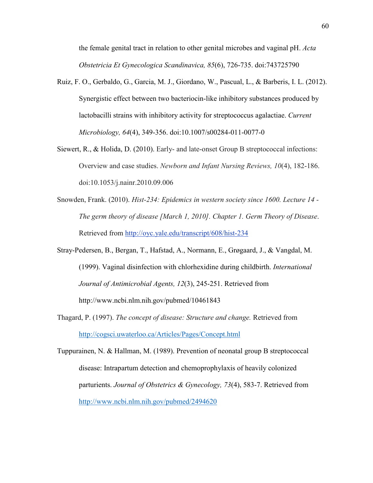the female genital tract in relation to other genital microbes and vaginal pH. *Acta Obstetricia Et Gynecologica Scandinavica, 85*(6), 726-735. doi:743725790

- Ruiz, F. O., Gerbaldo, G., Garcia, M. J., Giordano, W., Pascual, L., & Barberis, I. L. (2012). Synergistic effect between two bacteriocin-like inhibitory substances produced by lactobacilli strains with inhibitory activity for streptococcus agalactiae. *Current Microbiology, 64*(4), 349-356. doi:10.1007/s00284-011-0077-0
- Siewert, R., & Holida, D. (2010). Early- and late-onset Group B streptococcal infections: Overview and case studies. *Newborn and Infant Nursing Reviews, 10*(4), 182-186. doi:10.1053/j.nainr.2010.09.006
- Snowden, Frank. (2010). *Hist-234: Epidemics in western society since 1600. Lecture 14 The germ theory of disease [March 1, 2010]. Chapter 1. Germ Theory of Disease*. Retrieved from <http://oyc.yale.edu/transcript/608/hist-234>
- Stray-Pedersen, B., Bergan, T., Hafstad, A., Normann, E., Grøgaard, J., & Vangdal, M. (1999). Vaginal disinfection with chlorhexidine during childbirth. *International Journal of Antimicrobial Agents, 12*(3), 245-251. Retrieved from http://www.ncbi.nlm.nih.gov/pubmed/10461843
- Thagard, P. (1997). *The concept of disease: Structure and change.* Retrieved from <http://cogsci.uwaterloo.ca/Articles/Pages/Concept.html>

Tuppurainen, N. & Hallman, M. (1989). Prevention of neonatal group B streptococcal disease: Intrapartum detection and chemoprophylaxis of heavily colonized parturients. *Journal of Obstetrics & Gynecology, 73*(4), 583-7. Retrieved from <http://www.ncbi.nlm.nih.gov/pubmed/2494620>